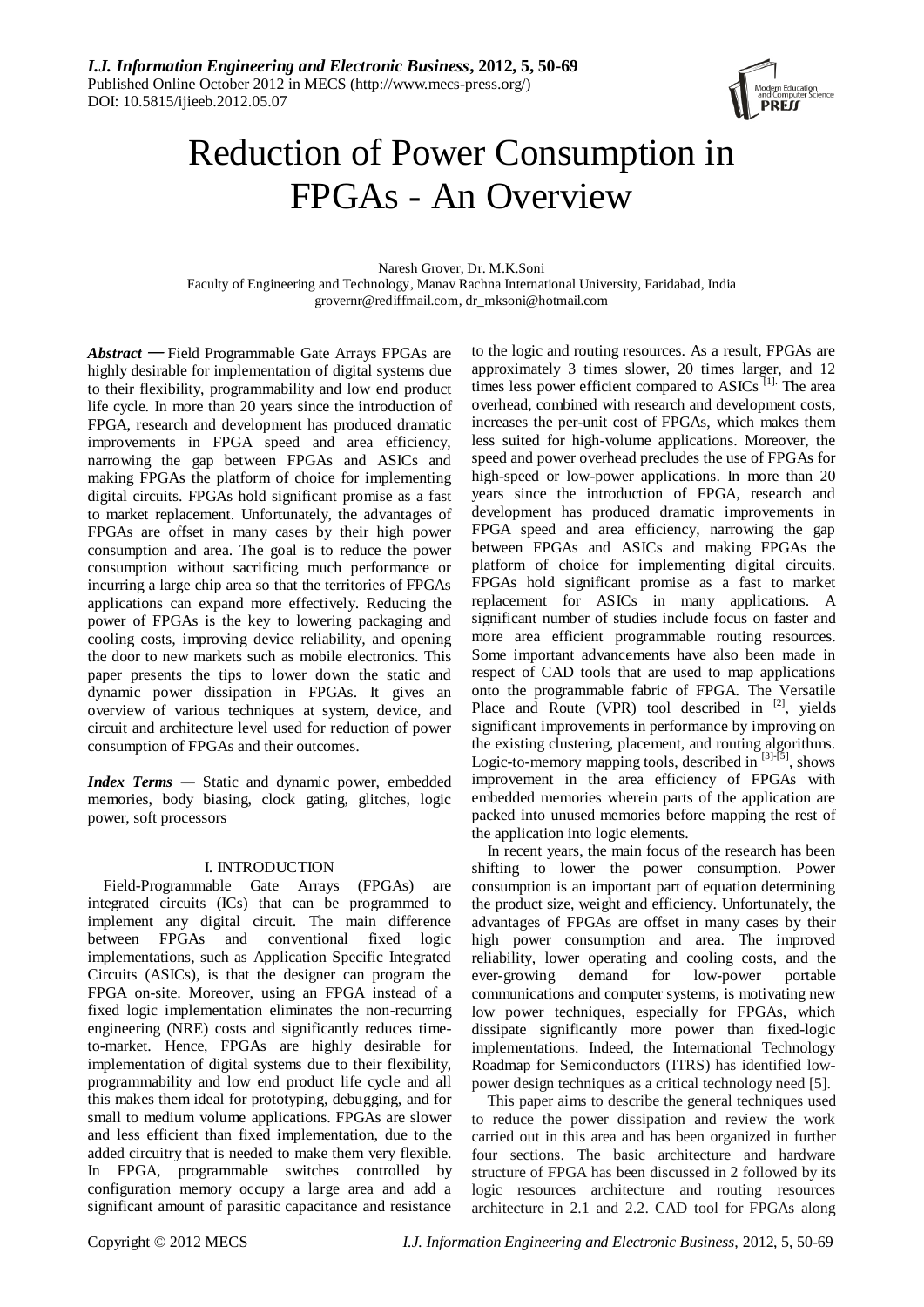

# Reduction of Power Consumption in FPGAs - An Overview

Naresh Grover, Dr. M.K.Soni

Faculty of Engineering and Technology, Manav Rachna International University, Faridabad, India [grovernr@rediffmail.com,](mailto:grovernr@rediffmail.com) dr\_mksoni@hotmail.com

*Abstract* — Field Programmable Gate Arrays FPGAs are highly desirable for implementation of digital systems due to their flexibility, programmability and low end product life cycle. In more than 20 years since the introduction of FPGA, research and development has produced dramatic improvements in FPGA speed and area efficiency, narrowing the gap between FPGAs and ASICs and making FPGAs the platform of choice for implementing digital circuits. FPGAs hold significant promise as a fast to market replacement. Unfortunately, the advantages of FPGAs are offset in many cases by their high power consumption and area. The goal is to reduce the power consumption without sacrificing much performance or incurring a large chip area so that the territories of FPGAs applications can expand more effectively. Reducing the power of FPGAs is the key to lowering packaging and cooling costs, improving device reliability, and opening the door to new markets such as mobile electronics. This paper presents the tips to lower down the static and dynamic power dissipation in FPGAs. It gives an overview of various techniques at system, device, and circuit and architecture level used for reduction of power consumption of FPGAs and their outcomes*.*

*Index Terms —* Static and dynamic power, embedded memories, body biasing, clock gating, glitches, logic power, soft processors

## I. INTRODUCTION

Field-Programmable Gate Arrays (FPGAs) are integrated circuits (ICs) that can be programmed to implement any digital circuit. The main difference between FPGAs and conventional fixed logic implementations, such as Application Specific Integrated Circuits (ASICs), is that the designer can program the FPGA on-site. Moreover, using an FPGA instead of a fixed logic implementation eliminates the non-recurring engineering (NRE) costs and significantly reduces timeto-market. Hence, FPGAs are highly desirable for implementation of digital systems due to their flexibility, programmability and low end product life cycle and all this makes them ideal for prototyping, debugging, and for small to medium volume applications. FPGAs are slower and less efficient than fixed implementation, due to the added circuitry that is needed to make them very flexible. In FPGA, programmable switches controlled by configuration memory occupy a large area and add a significant amount of parasitic capacitance and resistance

to the logic and routing resources. As a result, FPGAs are approximately 3 times slower, 20 times larger, and 12 times less power efficient compared to ASICs<sup>[1].</sup> The area overhead, combined with research and development costs, increases the per-unit cost of FPGAs, which makes them less suited for high-volume applications. Moreover, the speed and power overhead precludes the use of FPGAs for high-speed or low-power applications. In more than 20 years since the introduction of FPGA, research and development has produced dramatic improvements in FPGA speed and area efficiency, narrowing the gap between FPGAs and ASICs and making FPGAs the platform of choice for implementing digital circuits. FPGAs hold significant promise as a fast to market replacement for ASICs in many applications. A significant number of studies include focus on faster and more area efficient programmable routing resources. Some important advancements have also been made in respect of CAD tools that are used to map applications onto the programmable fabric of FPGA. The Versatile Place and Route (VPR) tool described in <sup>[2]</sup>, yields significant improvements in performance by improving on the existing clustering, placement, and routing algorithms. Logic-to-memory mapping tools, described in  $[3]-[5]$ , shows improvement in the area efficiency of FPGAs with embedded memories wherein parts of the application are packed into unused memories before mapping the rest of the application into logic elements.

In recent years, the main focus of the research has been shifting to lower the power consumption. Power consumption is an important part of equation determining the product size, weight and efficiency. Unfortunately, the advantages of FPGAs are offset in many cases by their high power consumption and area. The improved reliability, lower operating and cooling costs, and the ever-growing demand for low-power portable communications and computer systems, is motivating new low power techniques, especially for FPGAs, which dissipate significantly more power than fixed-logic implementations. Indeed, the International Technology Roadmap for Semiconductors (ITRS) has identified lowpower design techniques as a critical technology need [5].

This paper aims to describe the general techniques used to reduce the power dissipation and review the work carried out in this area and has been organized in further four sections. The basic architecture and hardware structure of FPGA has been discussed in 2 followed by its logic resources architecture and routing resources architecture in 2.1 and 2.2. CAD tool for FPGAs along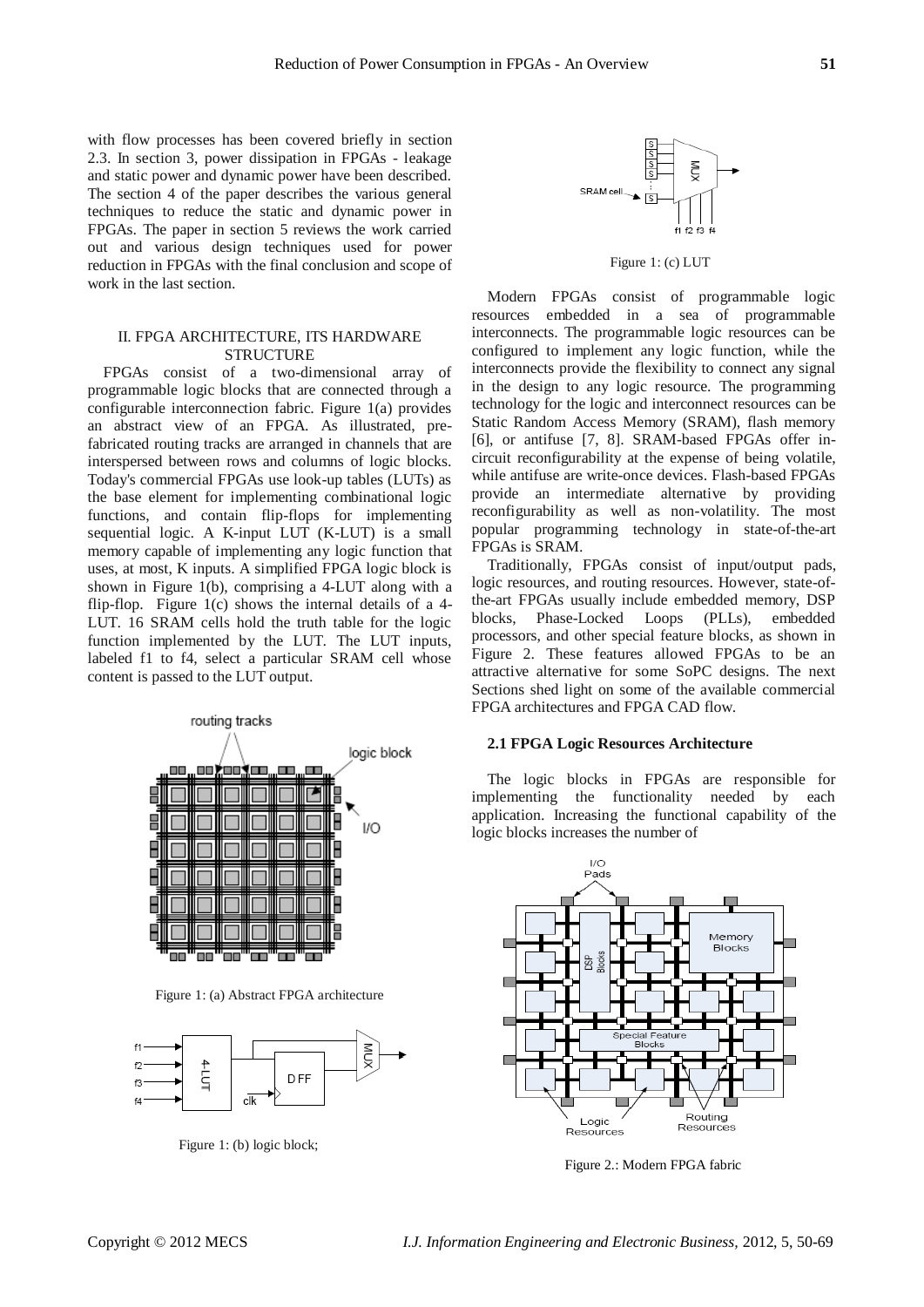with flow processes has been covered briefly in section 2.3. In section 3, power dissipation in FPGAs - leakage and static power and dynamic power have been described. The section 4 of the paper describes the various general techniques to reduce the static and dynamic power in FPGAs. The paper in section 5 reviews the work carried out and various design techniques used for power reduction in FPGAs with the final conclusion and scope of work in the last section.

# II. FPGA ARCHITECTURE, ITS HARDWARE **STRUCTURE**

FPGAs consist of a two-dimensional array of programmable logic blocks that are connected through a configurable interconnection fabric. Figure 1(a) provides an abstract view of an FPGA. As illustrated, prefabricated routing tracks are arranged in channels that are interspersed between rows and columns of logic blocks. Today's commercial FPGAs use look-up tables (LUTs) as the base element for implementing combinational logic functions, and contain flip-flops for implementing sequential logic. A K-input LUT (K-LUT) is a small memory capable of implementing any logic function that uses, at most, K inputs. A simplified FPGA logic block is shown in Figure 1(b), comprising a 4-LUT along with a flip-flop. Figure  $1(c)$  shows the internal details of a 4-LUT. 16 SRAM cells hold the truth table for the logic function implemented by the LUT. The LUT inputs, labeled f1 to f4, select a particular SRAM cell whose content is passed to the LUT output.



Figure 1: (a) Abstract FPGA architecture



Figure 1: (b) logic block;



Figure 1: (c) LUT

Modern FPGAs consist of programmable logic resources embedded in a sea of programmable interconnects. The programmable logic resources can be configured to implement any logic function, while the interconnects provide the flexibility to connect any signal in the design to any logic resource. The programming technology for the logic and interconnect resources can be Static Random Access Memory (SRAM), flash memory [6], or antifuse [7, 8]. SRAM-based FPGAs offer incircuit reconfigurability at the expense of being volatile, while antifuse are write-once devices. Flash-based FPGAs provide an intermediate alternative by providing reconfigurability as well as non-volatility. The most popular programming technology in state-of-the-art FPGAs is SRAM.

Traditionally, FPGAs consist of input/output pads, logic resources, and routing resources. However, state-ofthe-art FPGAs usually include embedded memory, DSP blocks, Phase-Locked Loops (PLLs), embedded processors, and other special feature blocks, as shown in Figure 2. These features allowed FPGAs to be an attractive alternative for some SoPC designs. The next Sections shed light on some of the available commercial FPGA architectures and FPGA CAD flow.

## **2.1 FPGA Logic Resources Architecture**

The logic blocks in FPGAs are responsible for implementing the functionality needed by each application. Increasing the functional capability of the logic blocks increases the number of



Figure 2.: Modern FPGA fabric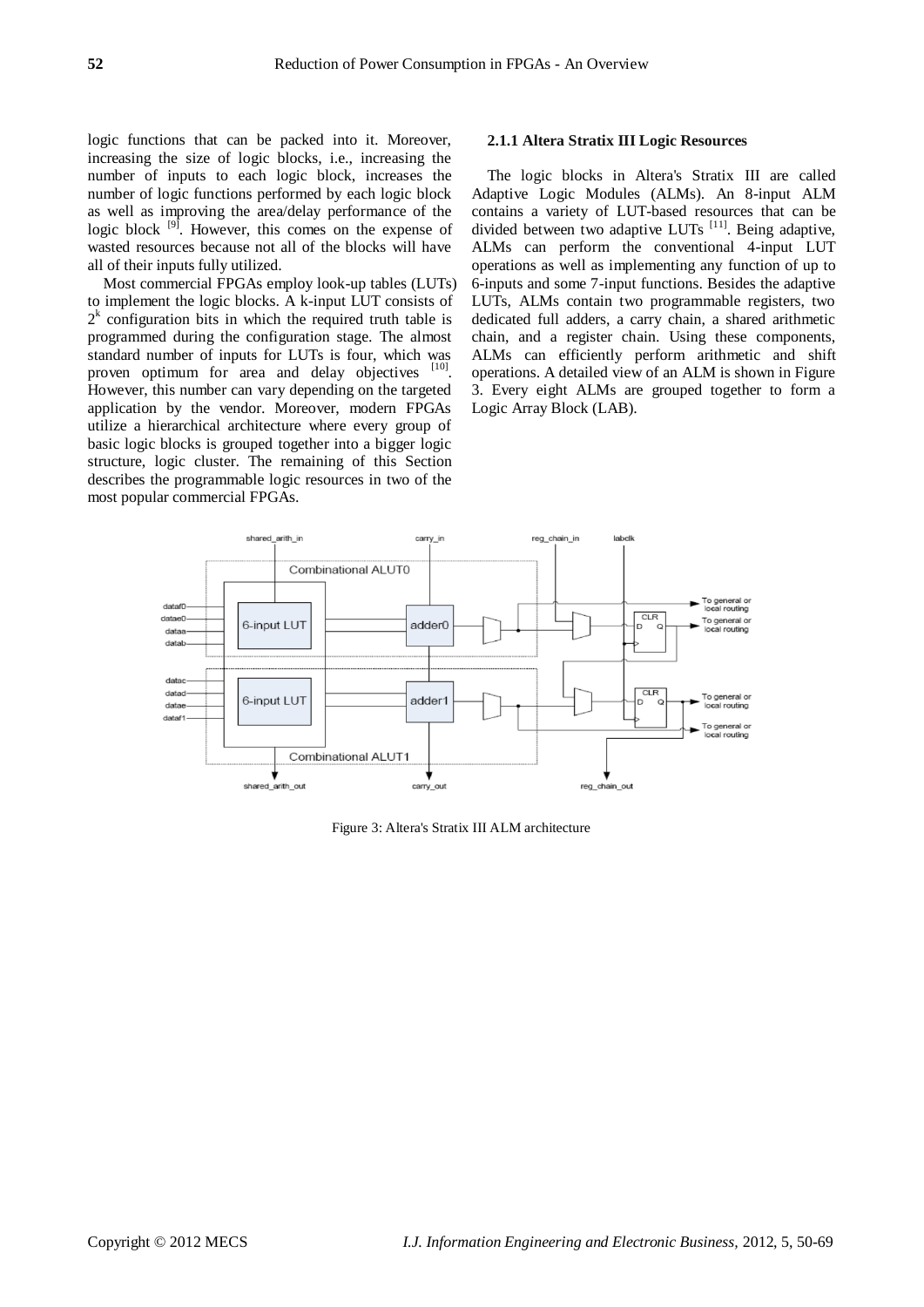logic functions that can be packed into it. Moreover, increasing the size of logic blocks, i.e., increasing the number of inputs to each logic block, increases the number of logic functions performed by each logic block as well as improving the area/delay performance of the logic block <sup>[9]</sup>. However, this comes on the expense of wasted resources because not all of the blocks will have all of their inputs fully utilized.

Most commercial FPGAs employ look-up tables (LUTs) to implement the logic blocks. A k-input LUT consists of  $2<sup>k</sup>$  configuration bits in which the required truth table is programmed during the configuration stage. The almost standard number of inputs for LUTs is four, which was proven optimum for area and delay objectives [10]. However, this number can vary depending on the targeted application by the vendor. Moreover, modern FPGAs utilize a hierarchical architecture where every group of basic logic blocks is grouped together into a bigger logic structure, logic cluster. The remaining of this Section describes the programmable logic resources in two of the most popular commercial FPGAs.

## **2.1.1 Altera Stratix III Logic Resources**

The logic blocks in Altera's Stratix III are called Adaptive Logic Modules (ALMs). An 8-input ALM contains a variety of LUT-based resources that can be divided between two adaptive LUTs<sup>[11]</sup>. Being adaptive, ALMs can perform the conventional 4-input LUT operations as well as implementing any function of up to 6-inputs and some 7-input functions. Besides the adaptive LUTs, ALMs contain two programmable registers, two dedicated full adders, a carry chain, a shared arithmetic chain, and a register chain. Using these components, ALMs can efficiently perform arithmetic and shift operations. A detailed view of an ALM is shown in Figure 3. Every eight ALMs are grouped together to form a Logic Array Block (LAB).



Figure 3: Altera's Stratix III ALM architecture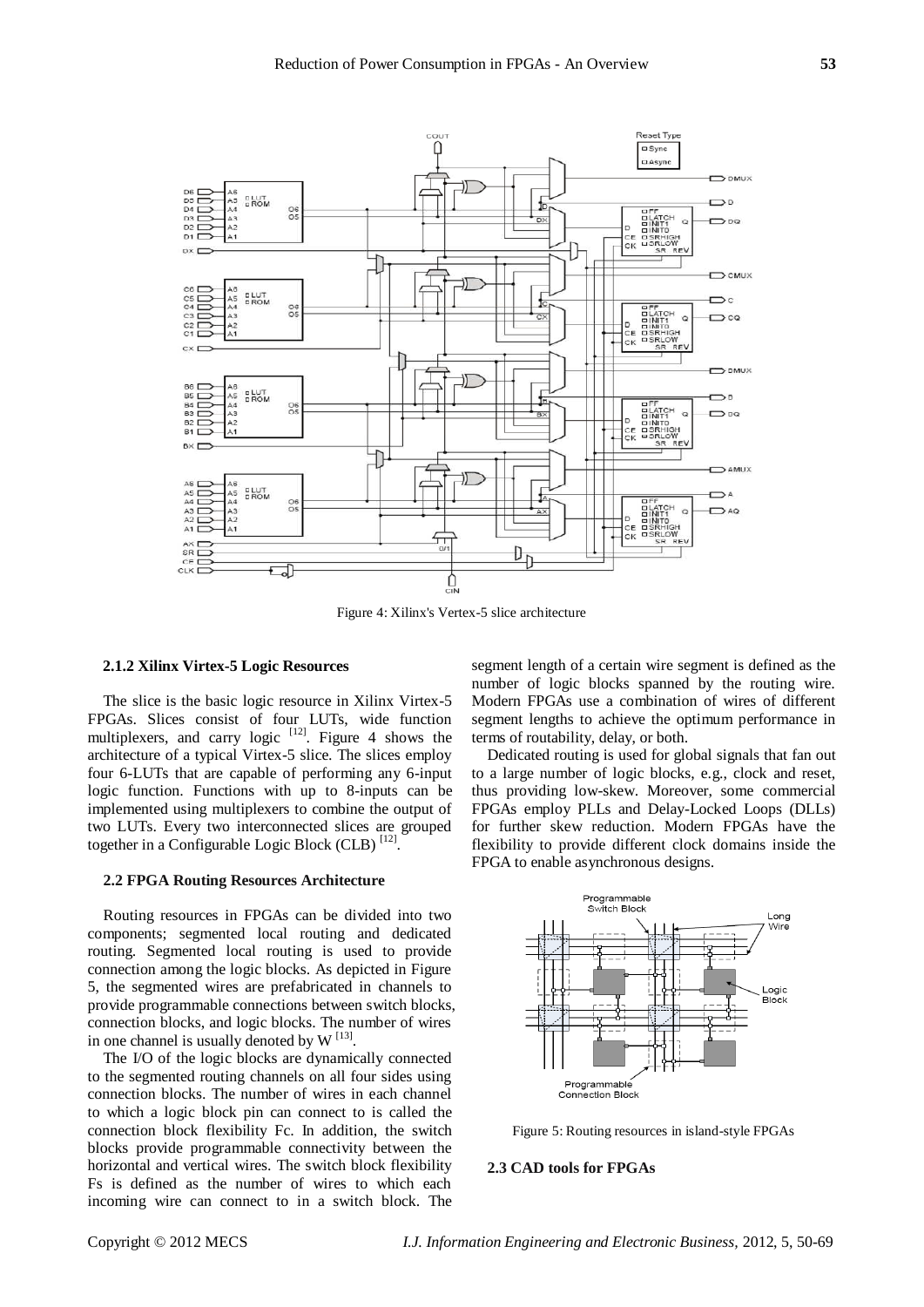

Figure 4: Xilinx's Vertex-5 slice architecture

## **2.1.2 Xilinx Virtex-5 Logic Resources**

The slice is the basic logic resource in Xilinx Virtex-5 FPGAs. Slices consist of four LUTs, wide function multiplexers, and carry logic  $[12]$ . Figure 4 shows the architecture of a typical Virtex-5 slice. The slices employ four 6-LUTs that are capable of performing any 6-input logic function. Functions with up to 8-inputs can be implemented using multiplexers to combine the output of two LUTs. Every two interconnected slices are grouped together in a Configurable Logic Block (CLB)<sup>[12]</sup>.

## **2.2 FPGA Routing Resources Architecture**

Routing resources in FPGAs can be divided into two components; segmented local routing and dedicated routing. Segmented local routing is used to provide connection among the logic blocks. As depicted in Figure 5, the segmented wires are prefabricated in channels to provide programmable connections between switch blocks, connection blocks, and logic blocks. The number of wires in one channel is usually denoted by  $W^{[13]}$ .

The I/O of the logic blocks are dynamically connected to the segmented routing channels on all four sides using connection blocks. The number of wires in each channel to which a logic block pin can connect to is called the connection block flexibility Fc. In addition, the switch blocks provide programmable connectivity between the horizontal and vertical wires. The switch block flexibility Fs is defined as the number of wires to which each incoming wire can connect to in a switch block. The

segment length of a certain wire segment is defined as the number of logic blocks spanned by the routing wire. Modern FPGAs use a combination of wires of different segment lengths to achieve the optimum performance in terms of routability, delay, or both.

Dedicated routing is used for global signals that fan out to a large number of logic blocks, e.g., clock and reset, thus providing low-skew. Moreover, some commercial FPGAs employ PLLs and Delay-Locked Loops (DLLs) for further skew reduction. Modern FPGAs have the flexibility to provide different clock domains inside the FPGA to enable asynchronous designs.



Figure 5: Routing resources in island-style FPGAs

## **2.3 CAD tools for FPGAs**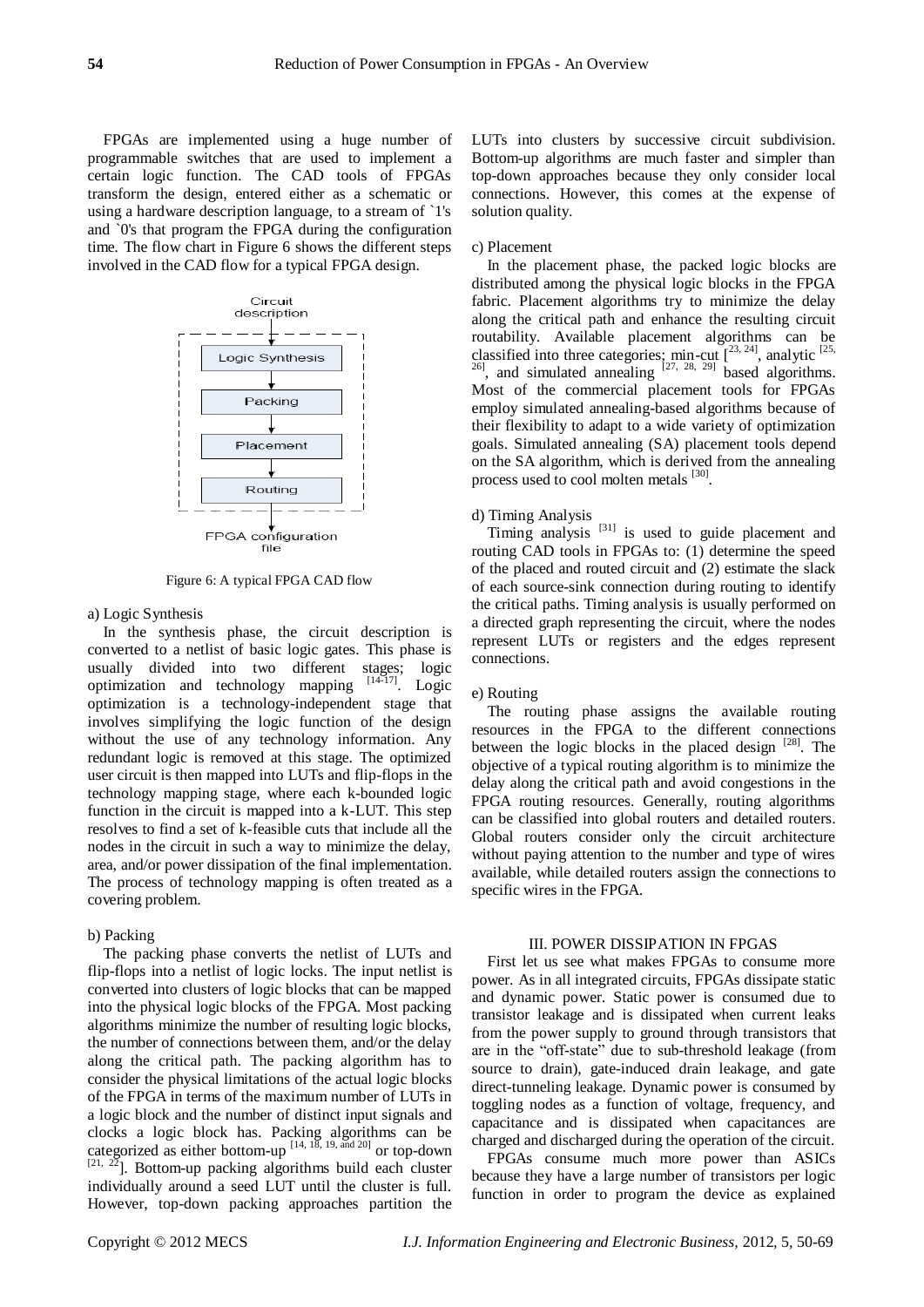FPGAs are implemented using a huge number of programmable switches that are used to implement a certain logic function. The CAD tools of FPGAs transform the design, entered either as a schematic or using a hardware description language, to a stream of `1's and `0's that program the FPGA during the configuration time. The flow chart in Figure 6 shows the different steps involved in the CAD flow for a typical FPGA design.



Figure 6: A typical FPGA CAD flow

a) Logic Synthesis

In the synthesis phase, the circuit description is converted to a netlist of basic logic gates. This phase is usually divided into two different stages; logic optimization and technology mapping  $[14-17]$ . Logic optimization is a technology-independent stage that involves simplifying the logic function of the design without the use of any technology information. Any redundant logic is removed at this stage. The optimized user circuit is then mapped into LUTs and flip-flops in the technology mapping stage, where each k-bounded logic function in the circuit is mapped into a k-LUT. This step resolves to find a set of k-feasible cuts that include all the nodes in the circuit in such a way to minimize the delay, area, and/or power dissipation of the final implementation. The process of technology mapping is often treated as a covering problem.

#### b) Packing

The packing phase converts the netlist of LUTs and flip-flops into a netlist of logic locks. The input netlist is converted into clusters of logic blocks that can be mapped into the physical logic blocks of the FPGA. Most packing algorithms minimize the number of resulting logic blocks, the number of connections between them, and/or the delay along the critical path. The packing algorithm has to consider the physical limitations of the actual logic blocks of the FPGA in terms of the maximum number of LUTs in a logic block and the number of distinct input signals and clocks a logic block has. Packing algorithms can be categorized as either bottom-up  $[14, 18, 19, \text{and } 20]$  or top-down  $[21, 22]$ . Bottom-up packing algorithms build each cluster individually around a seed LUT until the cluster is full. However, top-down packing approaches partition the

LUTs into clusters by successive circuit subdivision. Bottom-up algorithms are much faster and simpler than top-down approaches because they only consider local connections. However, this comes at the expense of solution quality.

## c) Placement

In the placement phase, the packed logic blocks are distributed among the physical logic blocks in the FPGA fabric. Placement algorithms try to minimize the delay along the critical path and enhance the resulting circuit routability. Available placement algorithms can be classified into three categories; min-cut  $[23, 24]$ , analytic  $[25, 26]$ , and simulated annealing  $[27, 28, 29]$  based algorithms. Most of the commercial placement tools for FPGAs employ simulated annealing-based algorithms because of their flexibility to adapt to a wide variety of optimization goals. Simulated annealing (SA) placement tools depend on the SA algorithm, which is derived from the annealing process used to cool molten metals <sup>[30]</sup>.

# d) Timing Analysis

Timing analysis  $[31]$  is used to guide placement and routing CAD tools in FPGAs to: (1) determine the speed of the placed and routed circuit and (2) estimate the slack of each source-sink connection during routing to identify the critical paths. Timing analysis is usually performed on a directed graph representing the circuit, where the nodes represent LUTs or registers and the edges represent connections.

## e) Routing

The routing phase assigns the available routing resources in the FPGA to the different connections between the logic blocks in the placed design <sup>[28]</sup>. The objective of a typical routing algorithm is to minimize the delay along the critical path and avoid congestions in the FPGA routing resources. Generally, routing algorithms can be classified into global routers and detailed routers. Global routers consider only the circuit architecture without paying attention to the number and type of wires available, while detailed routers assign the connections to specific wires in the FPGA.

### III. POWER DISSIPATION IN FPGAS

First let us see what makes FPGAs to consume more power. As in all integrated circuits, FPGAs dissipate static and dynamic power. Static power is consumed due to transistor leakage and is dissipated when current leaks from the power supply to ground through transistors that are in the "off-state" due to sub-threshold leakage (from source to drain), gate-induced drain leakage, and gate direct-tunneling leakage. Dynamic power is consumed by toggling nodes as a function of voltage, frequency, and capacitance and is dissipated when capacitances are charged and discharged during the operation of the circuit.

FPGAs consume much more power than ASICs because they have a large number of transistors per logic function in order to program the device as explained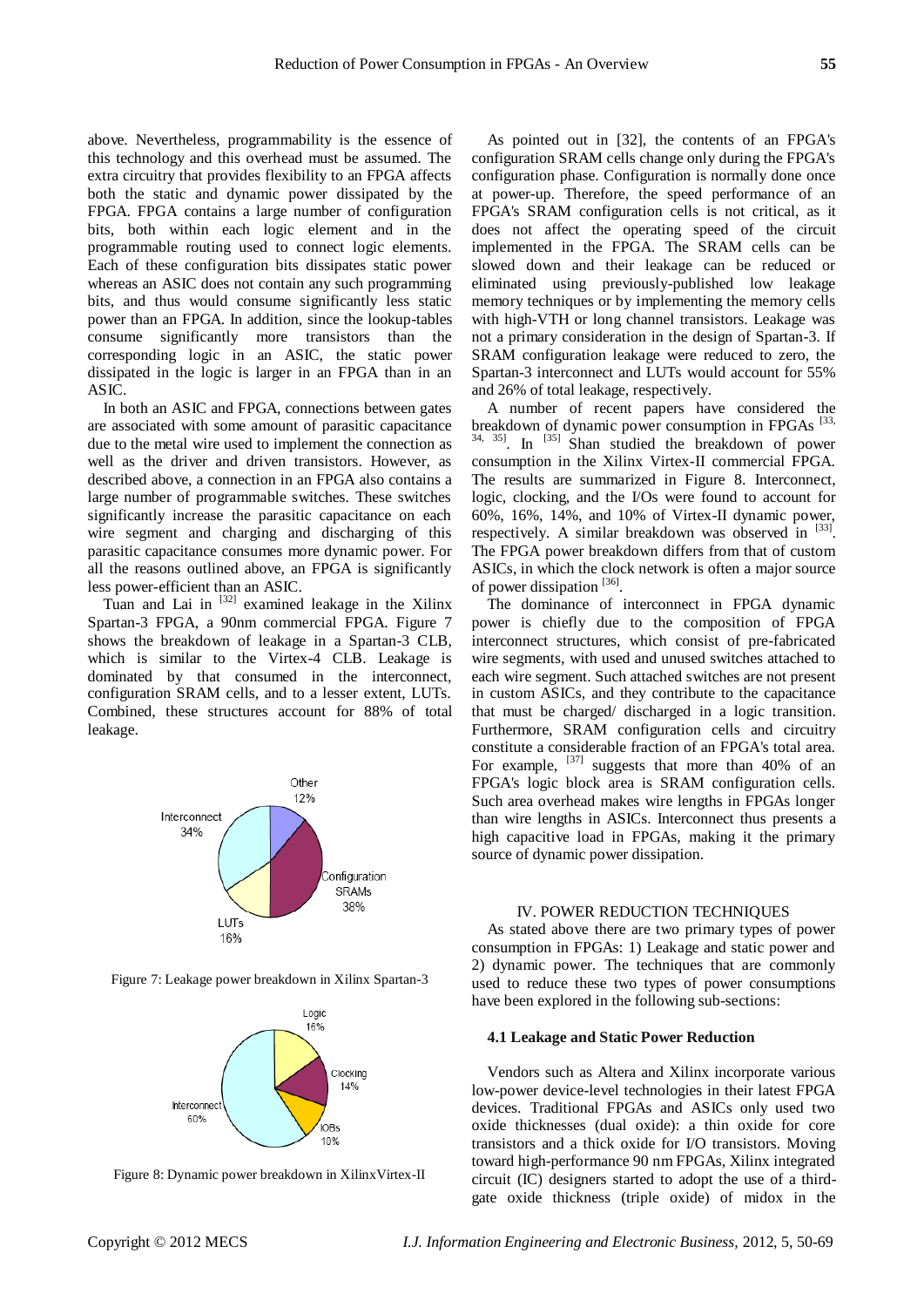above. Nevertheless, programmability is the essence of this technology and this overhead must be assumed. The extra circuitry that provides flexibility to an FPGA affects both the static and dynamic power dissipated by the FPGA. FPGA contains a large number of configuration bits, both within each logic element and in the programmable routing used to connect logic elements. Each of these configuration bits dissipates static power whereas an ASIC does not contain any such programming bits, and thus would consume significantly less static power than an FPGA. In addition, since the lookup-tables consume significantly more transistors than the corresponding logic in an ASIC, the static power dissipated in the logic is larger in an FPGA than in an ASIC.

In both an ASIC and FPGA, connections between gates are associated with some amount of parasitic capacitance due to the metal wire used to implement the connection as well as the driver and driven transistors. However, as described above, a connection in an FPGA also contains a large number of programmable switches. These switches significantly increase the parasitic capacitance on each wire segment and charging and discharging of this parasitic capacitance consumes more dynamic power. For all the reasons outlined above, an FPGA is significantly less power-efficient than an ASIC.

Tuan and Lai in  $[32]$  examined leakage in the Xilinx Spartan-3 FPGA, a 90nm commercial FPGA. Figure 7 shows the breakdown of leakage in a Spartan-3 CLB, which is similar to the Virtex-4 CLB. Leakage is dominated by that consumed in the interconnect, configuration SRAM cells, and to a lesser extent, LUTs. Combined, these structures account for 88% of total leakage.



Figure 7: Leakage power breakdown in Xilinx Spartan-3



Figure 8: Dynamic power breakdown in XilinxVirtex-II

As pointed out in [32], the contents of an FPGA's configuration SRAM cells change only during the FPGA's configuration phase. Configuration is normally done once at power-up. Therefore, the speed performance of an FPGA's SRAM configuration cells is not critical, as it does not affect the operating speed of the circuit implemented in the FPGA. The SRAM cells can be slowed down and their leakage can be reduced or eliminated using previously-published low leakage memory techniques or by implementing the memory cells with high-VTH or long channel transistors. Leakage was not a primary consideration in the design of Spartan-3. If SRAM configuration leakage were reduced to zero, the Spartan-3 interconnect and LUTs would account for 55% and 26% of total leakage, respectively.

A number of recent papers have considered the breakdown of dynamic power consumption in FPGAs<sup>[33,</sup> 34, 35] . In [35] Shan studied the breakdown of power consumption in the Xilinx Virtex-II commercial FPGA. The results are summarized in Figure 8. Interconnect, logic, clocking, and the I/Os were found to account for 60%, 16%, 14%, and 10% of Virtex-II dynamic power, respectively. A similar breakdown was observed in  $[33]$ . The FPGA power breakdown differs from that of custom ASICs, in which the clock network is often a major source of power dissipation [36].

The dominance of interconnect in FPGA dynamic power is chiefly due to the composition of FPGA interconnect structures, which consist of pre-fabricated wire segments, with used and unused switches attached to each wire segment. Such attached switches are not present in custom ASICs, and they contribute to the capacitance that must be charged/ discharged in a logic transition. Furthermore, SRAM configuration cells and circuitry constitute a considerable fraction of an FPGA's total area. For example,  $^{[37]}$  suggests that more than 40% of an FPGA's logic block area is SRAM configuration cells. Such area overhead makes wire lengths in FPGAs longer than wire lengths in ASICs. Interconnect thus presents a high capacitive load in FPGAs, making it the primary source of dynamic power dissipation.

## IV. POWER REDUCTION TECHNIQUES

As stated above there are two primary types of power consumption in FPGAs: 1) Leakage and static power and 2) dynamic power. The techniques that are commonly used to reduce these two types of power consumptions have been explored in the following sub-sections:

## **4.1 Leakage and Static Power Reduction**

Vendors such as Altera and Xilinx incorporate various low-power device-level technologies in their latest FPGA devices. Traditional FPGAs and ASICs only used two oxide thicknesses (dual oxide): a thin oxide for core transistors and a thick oxide for I/O transistors. Moving toward high-performance 90 nm FPGAs, Xilinx integrated circuit (IC) designers started to adopt the use of a thirdgate oxide thickness (triple oxide) of midox in the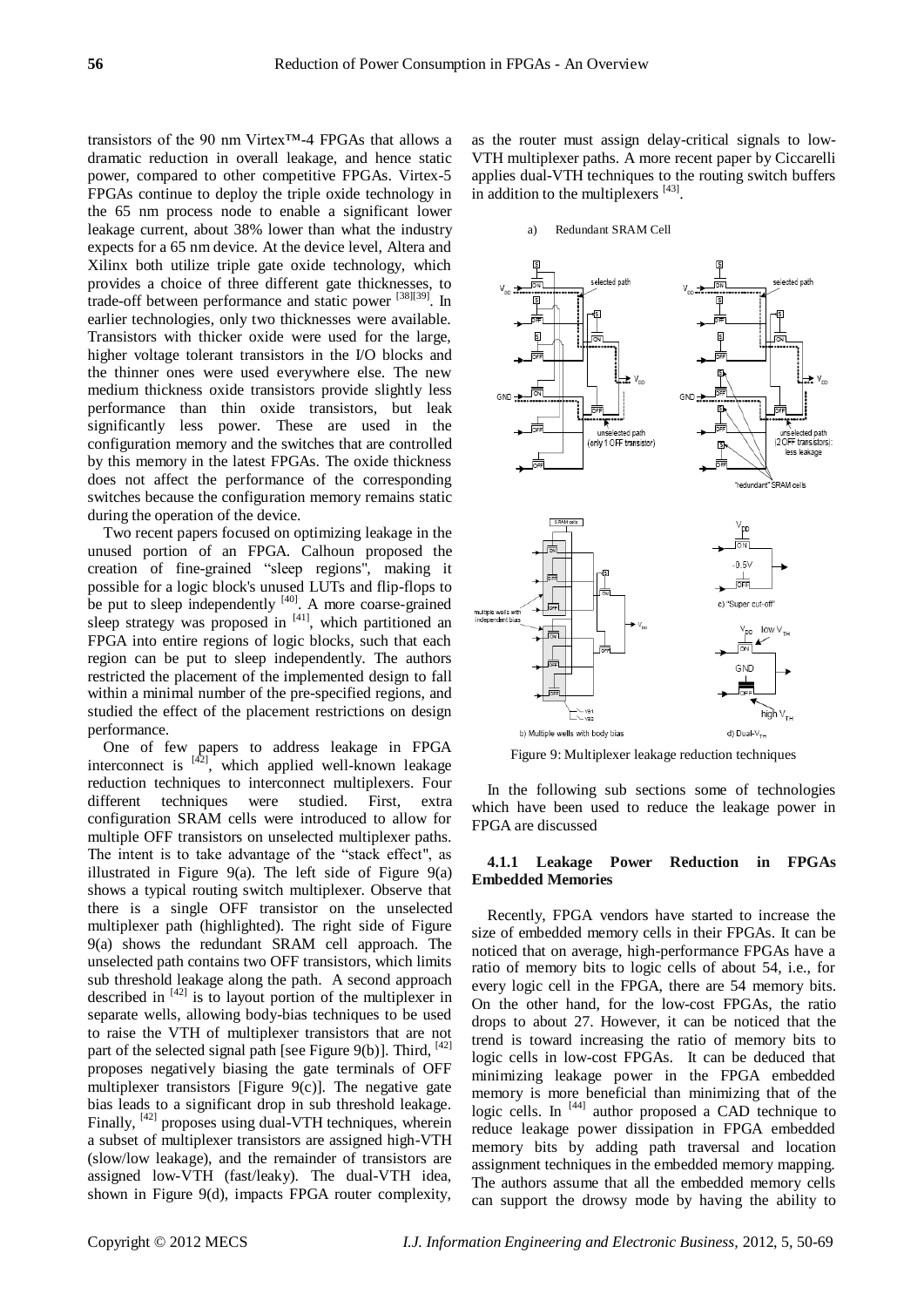transistors of the 90 nm Virtex™-4 FPGAs that allows a dramatic reduction in overall leakage, and hence static power, compared to other competitive FPGAs. Virtex-5 FPGAs continue to deploy the triple oxide technology in the 65 nm process node to enable a significant lower leakage current, about 38% lower than what the industry expects for a 65 nm device. At the device level, Altera and Xilinx both utilize triple gate oxide technology, which provides a choice of three different gate thicknesses, to trade-off between performance and static power [38][39]. In earlier technologies, only two thicknesses were available. Transistors with thicker oxide were used for the large, higher voltage tolerant transistors in the I/O blocks and the thinner ones were used everywhere else. The new medium thickness oxide transistors provide slightly less performance than thin oxide transistors, but leak significantly less power. These are used in the configuration memory and the switches that are controlled by this memory in the latest FPGAs. The oxide thickness does not affect the performance of the corresponding switches because the configuration memory remains static during the operation of the device.

Two recent papers focused on optimizing leakage in the unused portion of an FPGA. Calhoun proposed the creation of fine-grained "sleep regions", making it possible for a logic block's unused LUTs and flip-flops to be put to sleep independently <sup>[40]</sup>. A more coarse-grained sleep strategy was proposed in  $[41]$ , which partitioned an FPGA into entire regions of logic blocks, such that each region can be put to sleep independently. The authors restricted the placement of the implemented design to fall within a minimal number of the pre-specified regions, and studied the effect of the placement restrictions on design performance.

One of few papers to address leakage in FPGA interconnect is  $[42]$ , which applied well-known leakage reduction techniques to interconnect multiplexers. Four different techniques were studied. First, extra configuration SRAM cells were introduced to allow for multiple OFF transistors on unselected multiplexer paths. The intent is to take advantage of the "stack effect", as illustrated in Figure 9(a). The left side of Figure 9(a) shows a typical routing switch multiplexer. Observe that there is a single OFF transistor on the unselected multiplexer path (highlighted). The right side of Figure 9(a) shows the redundant SRAM cell approach. The unselected path contains two OFF transistors, which limits sub threshold leakage along the path. A second approach described in  $[42]$  is to layout portion of the multiplexer in separate wells, allowing body-bias techniques to be used to raise the VTH of multiplexer transistors that are not part of the selected signal path [see Figure 9(b)]. Third,  $^{[42]}$ proposes negatively biasing the gate terminals of OFF multiplexer transistors [Figure 9(c)]. The negative gate bias leads to a significant drop in sub threshold leakage. Finally, <sup>[42]</sup> proposes using dual-VTH techniques, wherein a subset of multiplexer transistors are assigned high-VTH (slow/low leakage), and the remainder of transistors are assigned low-VTH (fast/leaky). The dual-VTH idea, shown in Figure 9(d), impacts FPGA router complexity,

as the router must assign delay-critical signals to low-VTH multiplexer paths. A more recent paper by Ciccarelli applies dual-VTH techniques to the routing switch buffers in addition to the multiplexers  $[43]$ .

#### a) Redundant SRAM Cell



Figure 9: Multiplexer leakage reduction techniques

In the following sub sections some of technologies which have been used to reduce the leakage power in FPGA are discussed

## **4.1.1 Leakage Power Reduction in FPGAs Embedded Memories**

Recently, FPGA vendors have started to increase the size of embedded memory cells in their FPGAs. It can be noticed that on average, high-performance FPGAs have a ratio of memory bits to logic cells of about 54, i.e., for every logic cell in the FPGA, there are 54 memory bits. On the other hand, for the low-cost FPGAs, the ratio drops to about 27. However, it can be noticed that the trend is toward increasing the ratio of memory bits to logic cells in low-cost FPGAs. It can be deduced that minimizing leakage power in the FPGA embedded memory is more beneficial than minimizing that of the logic cells. In [44] author proposed a CAD technique to reduce leakage power dissipation in FPGA embedded memory bits by adding path traversal and location assignment techniques in the embedded memory mapping. The authors assume that all the embedded memory cells can support the drowsy mode by having the ability to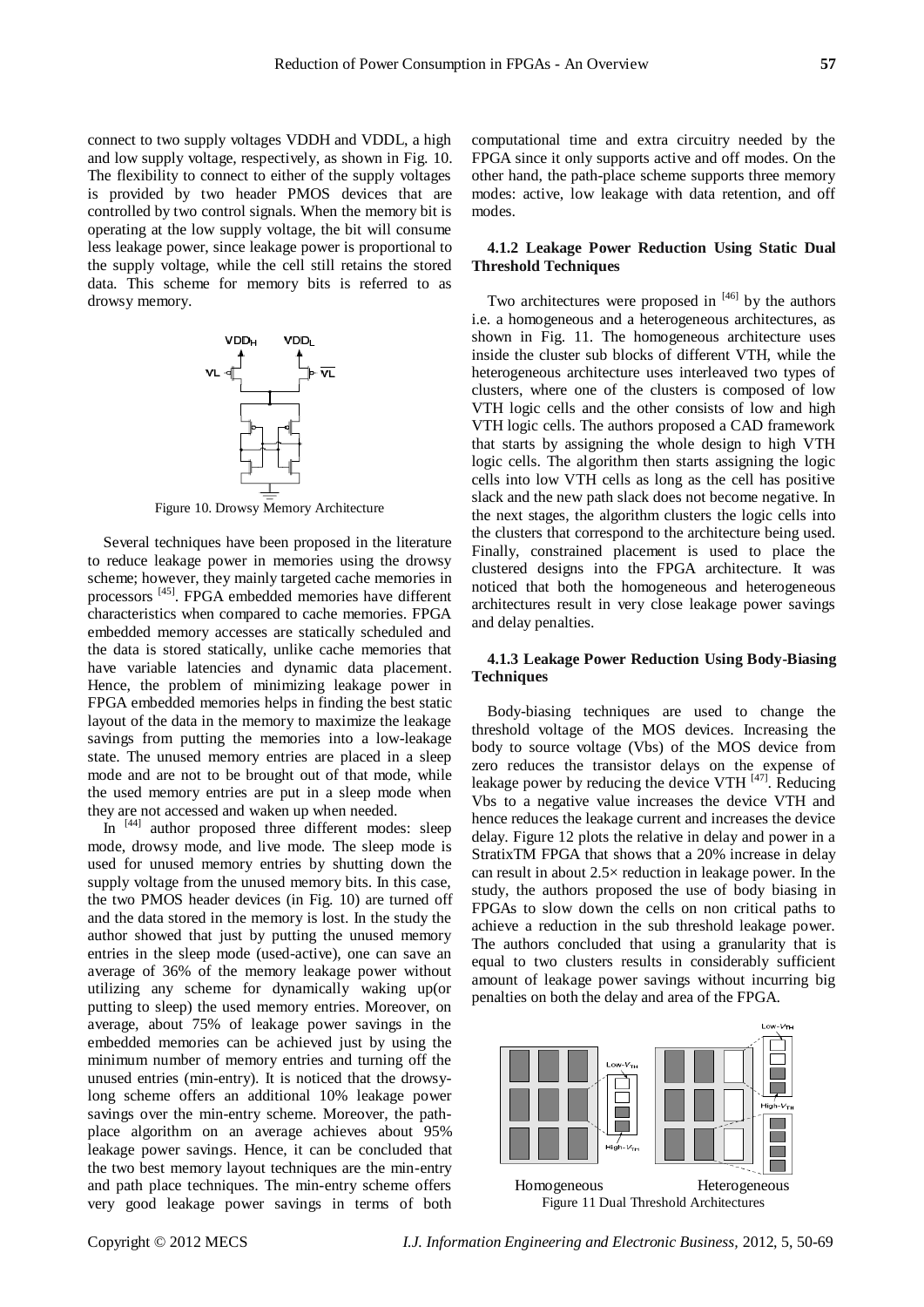connect to two supply voltages VDDH and VDDL, a high and low supply voltage, respectively, as shown in Fig. 10. The flexibility to connect to either of the supply voltages is provided by two header PMOS devices that are controlled by two control signals. When the memory bit is operating at the low supply voltage, the bit will consume less leakage power, since leakage power is proportional to the supply voltage, while the cell still retains the stored data. This scheme for memory bits is referred to as drowsy memory.



Figure 10. Drowsy Memory Architecture

Several techniques have been proposed in the literature to reduce leakage power in memories using the drowsy scheme; however, they mainly targeted cache memories in processors<sup>[45]</sup>. FPGA embedded memories have different characteristics when compared to cache memories. FPGA embedded memory accesses are statically scheduled and the data is stored statically, unlike cache memories that have variable latencies and dynamic data placement. Hence, the problem of minimizing leakage power in FPGA embedded memories helps in finding the best static layout of the data in the memory to maximize the leakage savings from putting the memories into a low-leakage state. The unused memory entries are placed in a sleep mode and are not to be brought out of that mode, while the used memory entries are put in a sleep mode when they are not accessed and waken up when needed.

In [44] author proposed three different modes: sleep mode, drowsy mode, and live mode. The sleep mode is used for unused memory entries by shutting down the supply voltage from the unused memory bits. In this case, the two PMOS header devices (in Fig. 10) are turned off and the data stored in the memory is lost. In the study the author showed that just by putting the unused memory entries in the sleep mode (used-active), one can save an average of 36% of the memory leakage power without utilizing any scheme for dynamically waking up(or putting to sleep) the used memory entries. Moreover, on average, about 75% of leakage power savings in the embedded memories can be achieved just by using the minimum number of memory entries and turning off the unused entries (min-entry). It is noticed that the drowsylong scheme offers an additional 10% leakage power savings over the min-entry scheme. Moreover, the pathplace algorithm on an average achieves about 95% leakage power savings. Hence, it can be concluded that the two best memory layout techniques are the min-entry and path place techniques. The min-entry scheme offers very good leakage power savings in terms of both

computational time and extra circuitry needed by the FPGA since it only supports active and off modes. On the other hand, the path-place scheme supports three memory modes: active, low leakage with data retention, and off modes.

# **4.1.2 Leakage Power Reduction Using Static Dual Threshold Techniques**

Two architectures were proposed in  $[46]$  by the authors i.e. a homogeneous and a heterogeneous architectures, as shown in Fig. 11. The homogeneous architecture uses inside the cluster sub blocks of different VTH, while the heterogeneous architecture uses interleaved two types of clusters, where one of the clusters is composed of low VTH logic cells and the other consists of low and high VTH logic cells. The authors proposed a CAD framework that starts by assigning the whole design to high VTH logic cells. The algorithm then starts assigning the logic cells into low VTH cells as long as the cell has positive slack and the new path slack does not become negative. In the next stages, the algorithm clusters the logic cells into the clusters that correspond to the architecture being used. Finally, constrained placement is used to place the clustered designs into the FPGA architecture. It was noticed that both the homogeneous and heterogeneous architectures result in very close leakage power savings and delay penalties.

# **4.1.3 Leakage Power Reduction Using Body-Biasing Techniques**

Body-biasing techniques are used to change the threshold voltage of the MOS devices. Increasing the body to source voltage (Vbs) of the MOS device from zero reduces the transistor delays on the expense of leakage power by reducing the device VTH  $^{[47]}$ . Reducing Vbs to a negative value increases the device VTH and hence reduces the leakage current and increases the device delay. Figure 12 plots the relative in delay and power in a StratixTM FPGA that shows that a 20% increase in delay can result in about  $2.5 \times$  reduction in leakage power. In the study, the authors proposed the use of body biasing in FPGAs to slow down the cells on non critical paths to achieve a reduction in the sub threshold leakage power. The authors concluded that using a granularity that is equal to two clusters results in considerably sufficient amount of leakage power savings without incurring big penalties on both the delay and area of the FPGA.



Figure 11 Dual Threshold Architectures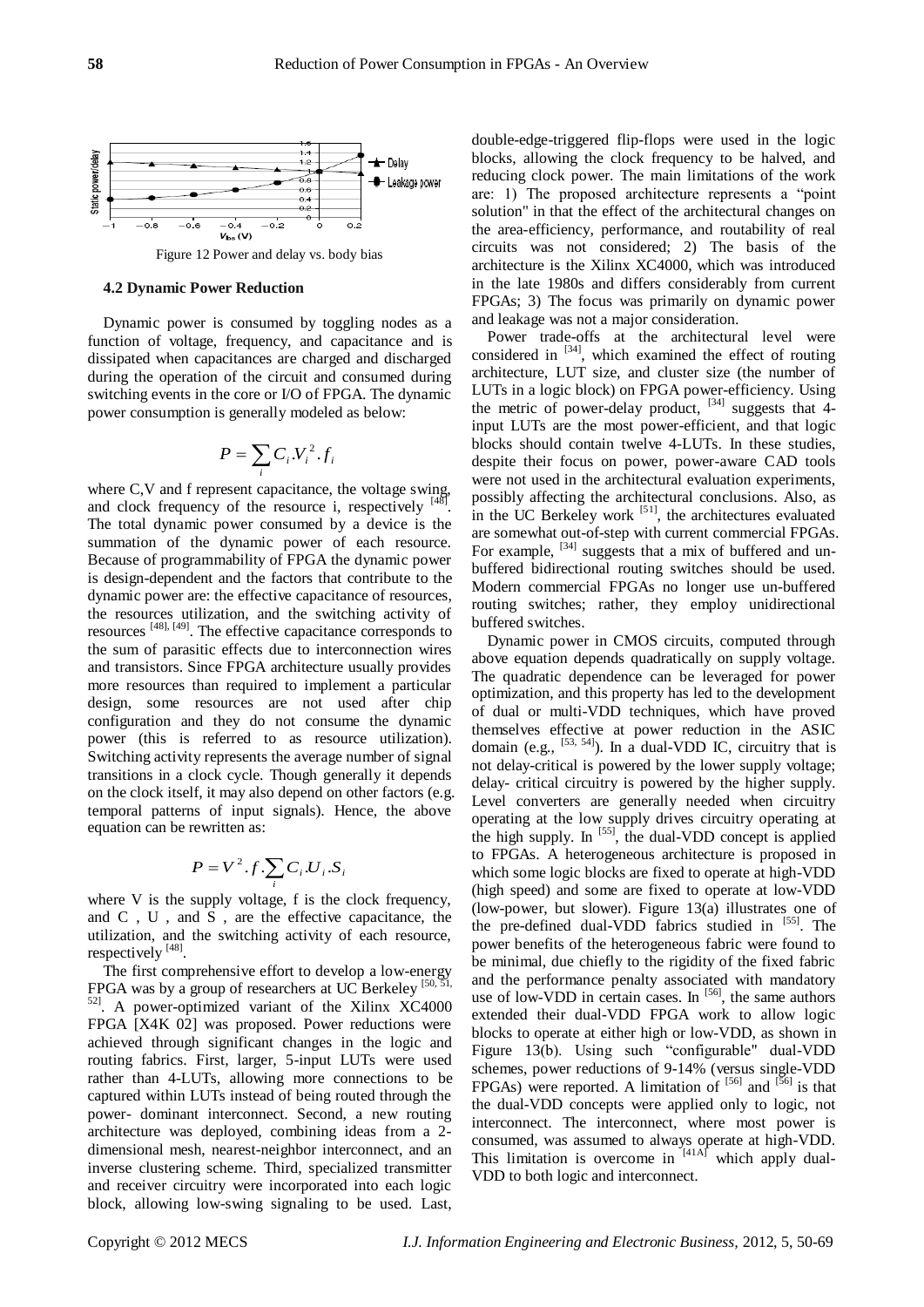

Figure 12 Power and delay vs. body bias

## **4.2 Dynamic Power Reduction**

Dynamic power is consumed by toggling nodes as a function of voltage, frequency, and capacitance and is dissipated when capacitances are charged and discharged during the operation of the circuit and consumed during switching events in the core or I/O of FPGA. The dynamic power consumption is generally modeled as below:

$$
P = \sum_i C_i V_i^2 . f_i
$$

where C,V and f represent capacitance, the voltage swing, and clock frequency of the resource i, respectively  $\frac{1}{2}$ . The total dynamic power consumed by a device is the summation of the dynamic power of each resource. Because of programmability of FPGA the dynamic power is design-dependent and the factors that contribute to the dynamic power are: the effective capacitance of resources, the resources utilization, and the switching activity of resources <sup>[48], [49]</sup>. The effective capacitance corresponds to the sum of parasitic effects due to interconnection wires and transistors. Since FPGA architecture usually provides more resources than required to implement a particular design, some resources are not used after chip configuration and they do not consume the dynamic power (this is referred to as resource utilization). Switching activity represents the average number of signal transitions in a clock cycle. Though generally it depends on the clock itself, it may also depend on other factors (e.g. temporal patterns of input signals). Hence, the above equation can be rewritten as:

$$
P = V^2.f.\sum_i C_i.U_i.S_i
$$

where V is the supply voltage, f is the clock frequency, and C , U , and S , are the effective capacitance, the utilization, and the switching activity of each resource, respectively [48].

The first comprehensive effort to develop a low-energy FPGA was by a group of researchers at UC Berkeley  $[50, 51]$ , 52] . A power-optimized variant of the Xilinx XC4000 FPGA [X4K 02] was proposed. Power reductions were achieved through significant changes in the logic and routing fabrics. First, larger, 5-input LUTs were used rather than 4-LUTs, allowing more connections to be captured within LUTs instead of being routed through the power- dominant interconnect. Second, a new routing architecture was deployed, combining ideas from a 2 dimensional mesh, nearest-neighbor interconnect, and an inverse clustering scheme. Third, specialized transmitter and receiver circuitry were incorporated into each logic block, allowing low-swing signaling to be used. Last,

double-edge-triggered flip-flops were used in the logic blocks, allowing the clock frequency to be halved, and reducing clock power. The main limitations of the work are: 1) The proposed architecture represents a "point" solution" in that the effect of the architectural changes on the area-efficiency, performance, and routability of real circuits was not considered; 2) The basis of the architecture is the Xilinx XC4000, which was introduced in the late 1980s and differs considerably from current FPGAs; 3) The focus was primarily on dynamic power and leakage was not a major consideration.

Power trade-offs at the architectural level were considered in  $[34]$ , which examined the effect of routing architecture, LUT size, and cluster size (the number of LUTs in a logic block) on FPGA power-efficiency. Using the metric of power-delay product,  $^{[34]}$  suggests that 4input LUTs are the most power-efficient, and that logic blocks should contain twelve 4-LUTs. In these studies, despite their focus on power, power-aware CAD tools were not used in the architectural evaluation experiments, possibly affecting the architectural conclusions. Also, as in the UC Berkeley work  $[51]$ , the architectures evaluated are somewhat out-of-step with current commercial FPGAs. For example, <sup>[34]</sup> suggests that a mix of buffered and unbuffered bidirectional routing switches should be used. Modern commercial FPGAs no longer use un-buffered routing switches; rather, they employ unidirectional buffered switches.

Dynamic power in CMOS circuits, computed through above equation depends quadratically on supply voltage. The quadratic dependence can be leveraged for power optimization, and this property has led to the development of dual or multi-VDD techniques, which have proved themselves effective at power reduction in the ASIC domain (e.g.,  $[53, 54]$ ). In a dual-VDD IC, circuitry that is not delay-critical is powered by the lower supply voltage; delay- critical circuitry is powered by the higher supply. Level converters are generally needed when circuitry operating at the low supply drives circuitry operating at the high supply. In  $[55]$ , the dual-VDD concept is applied to FPGAs. A heterogeneous architecture is proposed in which some logic blocks are fixed to operate at high-VDD (high speed) and some are fixed to operate at low-VDD (low-power, but slower). Figure 13(a) illustrates one of the pre-defined dual-VDD fabrics studied in [55]. The power benefits of the heterogeneous fabric were found to be minimal, due chiefly to the rigidity of the fixed fabric and the performance penalty associated with mandatory use of low-VDD in certain cases. In [56], the same authors extended their dual-VDD FPGA work to allow logic blocks to operate at either high or low-VDD, as shown in Figure 13(b). Using such "configurable" dual-VDD schemes, power reductions of 9-14% (versus single-VDD FPGAs) were reported. A limitation of  $[56]$  and  $[56]$  is that the dual-VDD concepts were applied only to logic, not interconnect. The interconnect, where most power is consumed, was assumed to always operate at high-VDD. This limitation is overcome in  $[41A]$  which apply dual-VDD to both logic and interconnect.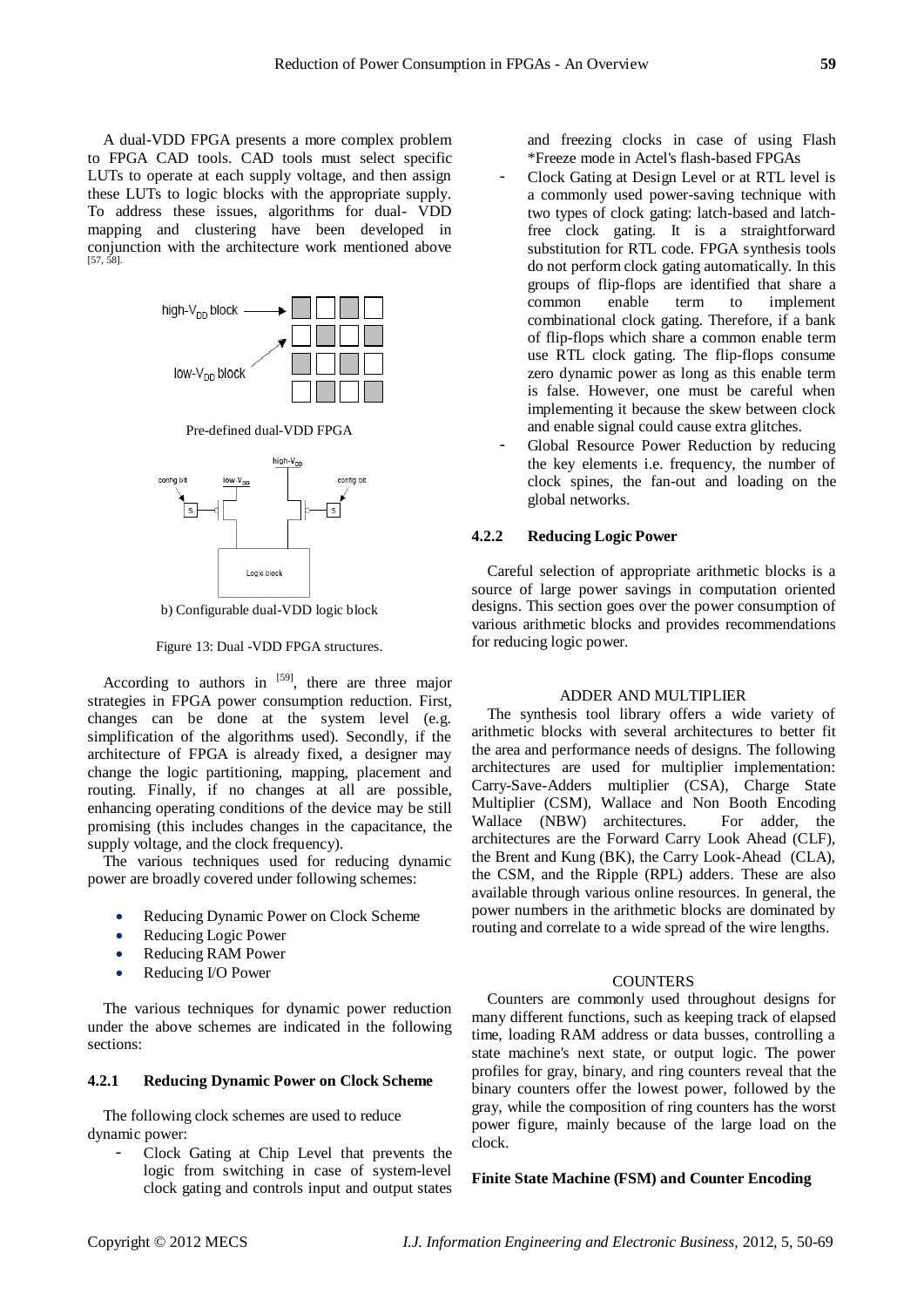A dual-VDD FPGA presents a more complex problem to FPGA CAD tools. CAD tools must select specific LUTs to operate at each supply voltage, and then assign these LUTs to logic blocks with the appropriate supply. To address these issues, algorithms for dual- VDD mapping and clustering have been developed in conjunction with the architecture work mentioned above  $[57, 5]$ 



Pre-defined dual-VDD FPGA



b) Configurable dual-VDD logic block

Figure 13: Dual -VDD FPGA structures.

According to authors in  $[59]$ , there are three major strategies in FPGA power consumption reduction. First, changes can be done at the system level (e.g. simplification of the algorithms used). Secondly, if the architecture of FPGA is already fixed, a designer may change the logic partitioning, mapping, placement and routing. Finally, if no changes at all are possible, enhancing operating conditions of the device may be still promising (this includes changes in the capacitance, the supply voltage, and the clock frequency).

The various techniques used for reducing dynamic power are broadly covered under following schemes:

- Reducing Dynamic Power on Clock Scheme
- Reducing Logic Power
- Reducing RAM Power
- Reducing I/O Power

The various techniques for dynamic power reduction under the above schemes are indicated in the following sections:

# **4.2.1 Reducing Dynamic Power on Clock Scheme**

The following clock schemes are used to reduce dynamic power:

- Clock Gating at Chip Level that prevents the logic from switching in case of system-level clock gating and controls input and output states

and freezing clocks in case of using Flash \*Freeze mode in Actel's flash-based FPGAs

- Clock Gating at Design Level or at RTL level is a commonly used power-saving technique with two types of clock gating: latch-based and latchfree clock gating. It is a straightforward substitution for RTL code. FPGA synthesis tools do not perform clock gating automatically. In this groups of flip-flops are identified that share a common enable term to implement combinational clock gating. Therefore, if a bank of flip-flops which share a common enable term use RTL clock gating. The flip-flops consume zero dynamic power as long as this enable term is false. However, one must be careful when implementing it because the skew between clock and enable signal could cause extra glitches.
- Global Resource Power Reduction by reducing the key elements i.e. frequency, the number of clock spines, the fan-out and loading on the global networks.

# **4.2.2 Reducing Logic Power**

Careful selection of appropriate arithmetic blocks is a source of large power savings in computation oriented designs. This section goes over the power consumption of various arithmetic blocks and provides recommendations for reducing logic power.

## ADDER AND MULTIPLIER

The synthesis tool library offers a wide variety of arithmetic blocks with several architectures to better fit the area and performance needs of designs. The following architectures are used for multiplier implementation: Carry-Save-Adders multiplier (CSA), Charge State Multiplier (CSM), Wallace and Non Booth Encoding Wallace (NBW) architectures. For adder, the architectures are the Forward Carry Look Ahead (CLF), the Brent and Kung (BK), the Carry Look-Ahead (CLA), the CSM, and the Ripple (RPL) adders. These are also available through various online resources. In general, the power numbers in the arithmetic blocks are dominated by routing and correlate to a wide spread of the wire lengths.

# **COUNTERS**

Counters are commonly used throughout designs for many different functions, such as keeping track of elapsed time, loading RAM address or data busses, controlling a state machine's next state, or output logic. The power profiles for gray, binary, and ring counters reveal that the binary counters offer the lowest power, followed by the gray, while the composition of ring counters has the worst power figure, mainly because of the large load on the clock.

# **Finite State Machine (FSM) and Counter Encoding**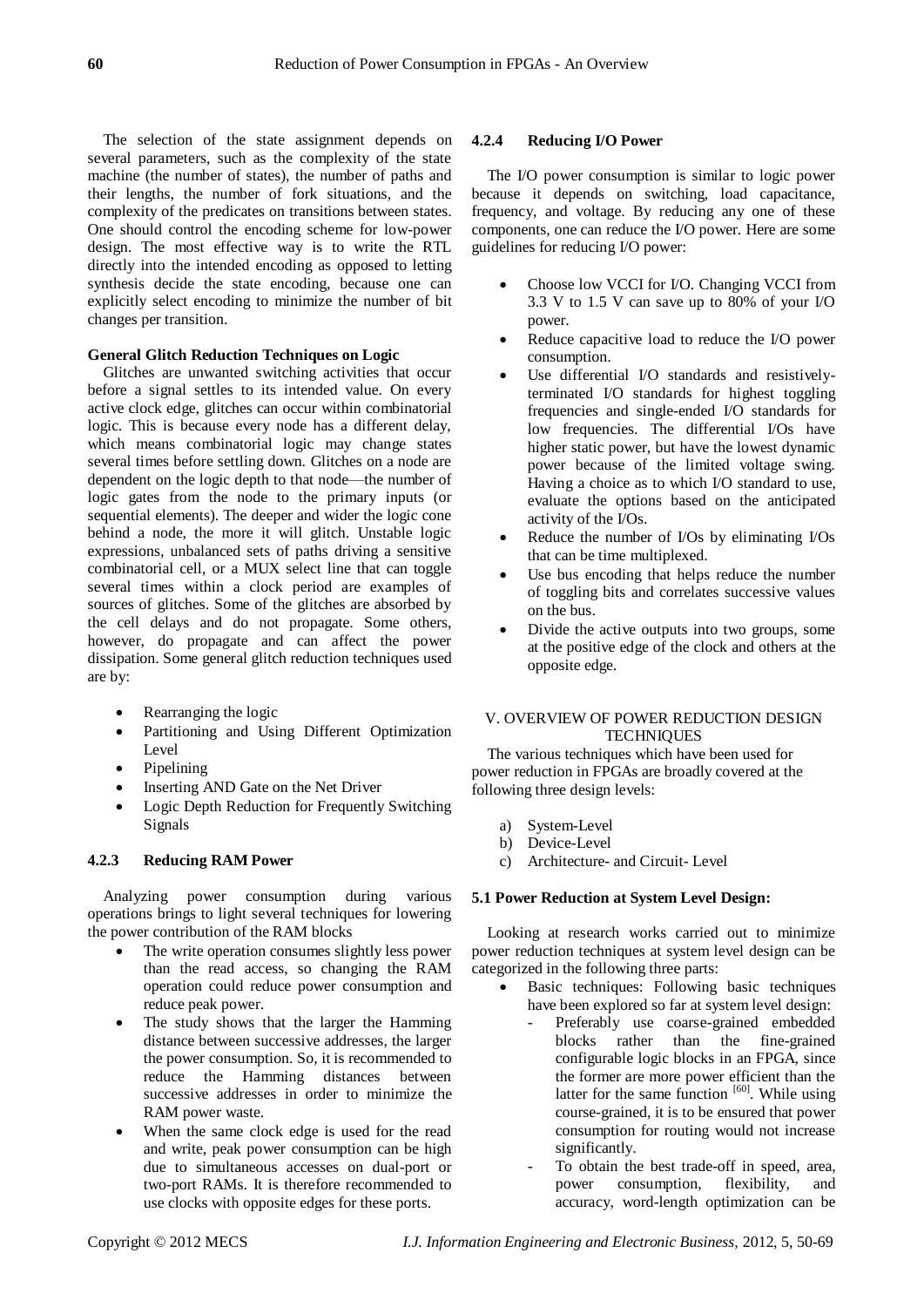The selection of the state assignment depends on several parameters, such as the complexity of the state machine (the number of states), the number of paths and their lengths, the number of fork situations, and the complexity of the predicates on transitions between states. One should control the encoding scheme for low-power design. The most effective way is to write the RTL directly into the intended encoding as opposed to letting synthesis decide the state encoding, because one can explicitly select encoding to minimize the number of bit changes per transition.

## **General Glitch Reduction Techniques on Logic**

Glitches are unwanted switching activities that occur before a signal settles to its intended value. On every active clock edge, glitches can occur within combinatorial logic. This is because every node has a different delay, which means combinatorial logic may change states several times before settling down. Glitches on a node are dependent on the logic depth to that node—the number of logic gates from the node to the primary inputs (or sequential elements). The deeper and wider the logic cone behind a node, the more it will glitch. Unstable logic expressions, unbalanced sets of paths driving a sensitive combinatorial cell, or a MUX select line that can toggle several times within a clock period are examples of sources of glitches. Some of the glitches are absorbed by the cell delays and do not propagate. Some others, however, do propagate and can affect the power dissipation. Some general glitch reduction techniques used are by:

- Rearranging the logic
- Partitioning and Using Different Optimization Level
- Pipelining
- Inserting AND Gate on the Net Driver
- Logic Depth Reduction for Frequently Switching Signals

# **4.2.3 Reducing RAM Power**

Analyzing power consumption during various operations brings to light several techniques for lowering the power contribution of the RAM blocks

- The write operation consumes slightly less power than the read access, so changing the RAM operation could reduce power consumption and reduce peak power.
- The study shows that the larger the Hamming distance between successive addresses, the larger the power consumption. So, it is recommended to reduce the Hamming distances between successive addresses in order to minimize the RAM power waste.
- When the same clock edge is used for the read and write, peak power consumption can be high due to simultaneous accesses on dual-port or two-port RAMs. It is therefore recommended to use clocks with opposite edges for these ports.

## **4.2.4 Reducing I/O Power**

The I/O power consumption is similar to logic power because it depends on switching, load capacitance, frequency, and voltage. By reducing any one of these components, one can reduce the I/O power. Here are some guidelines for reducing I/O power:

- Choose low VCCI for I/O. Changing VCCI from 3.3 V to 1.5 V can save up to 80% of your I/O power.
- Reduce capacitive load to reduce the I/O power consumption.
- Use differential I/O standards and resistivelyterminated I/O standards for highest toggling frequencies and single-ended I/O standards for low frequencies. The differential I/Os have higher static power, but have the lowest dynamic power because of the limited voltage swing. Having a choice as to which I/O standard to use, evaluate the options based on the anticipated activity of the I/Os.
- Reduce the number of I/Os by eliminating I/Os that can be time multiplexed.
- Use bus encoding that helps reduce the number of toggling bits and correlates successive values on the bus.
- Divide the active outputs into two groups, some at the positive edge of the clock and others at the opposite edge.

## V. OVERVIEW OF POWER REDUCTION DESIGN **TECHNIQUES**

The various techniques which have been used for power reduction in FPGAs are broadly covered at the following three design levels:

- a) System-Level
- b) Device-Level
- c) Architecture- and Circuit- Level

## **5.1 Power Reduction at System Level Design:**

Looking at research works carried out to minimize power reduction techniques at system level design can be categorized in the following three parts:

- Basic techniques: Following basic techniques have been explored so far at system level design:
	- Preferably use coarse-grained embedded blocks rather than the fine-grained configurable logic blocks in an FPGA, since the former are more power efficient than the latter for the same function  $[60]$ . While using course-grained, it is to be ensured that power consumption for routing would not increase significantly.
	- To obtain the best trade-off in speed, area, power consumption, flexibility, and accuracy, word-length optimization can be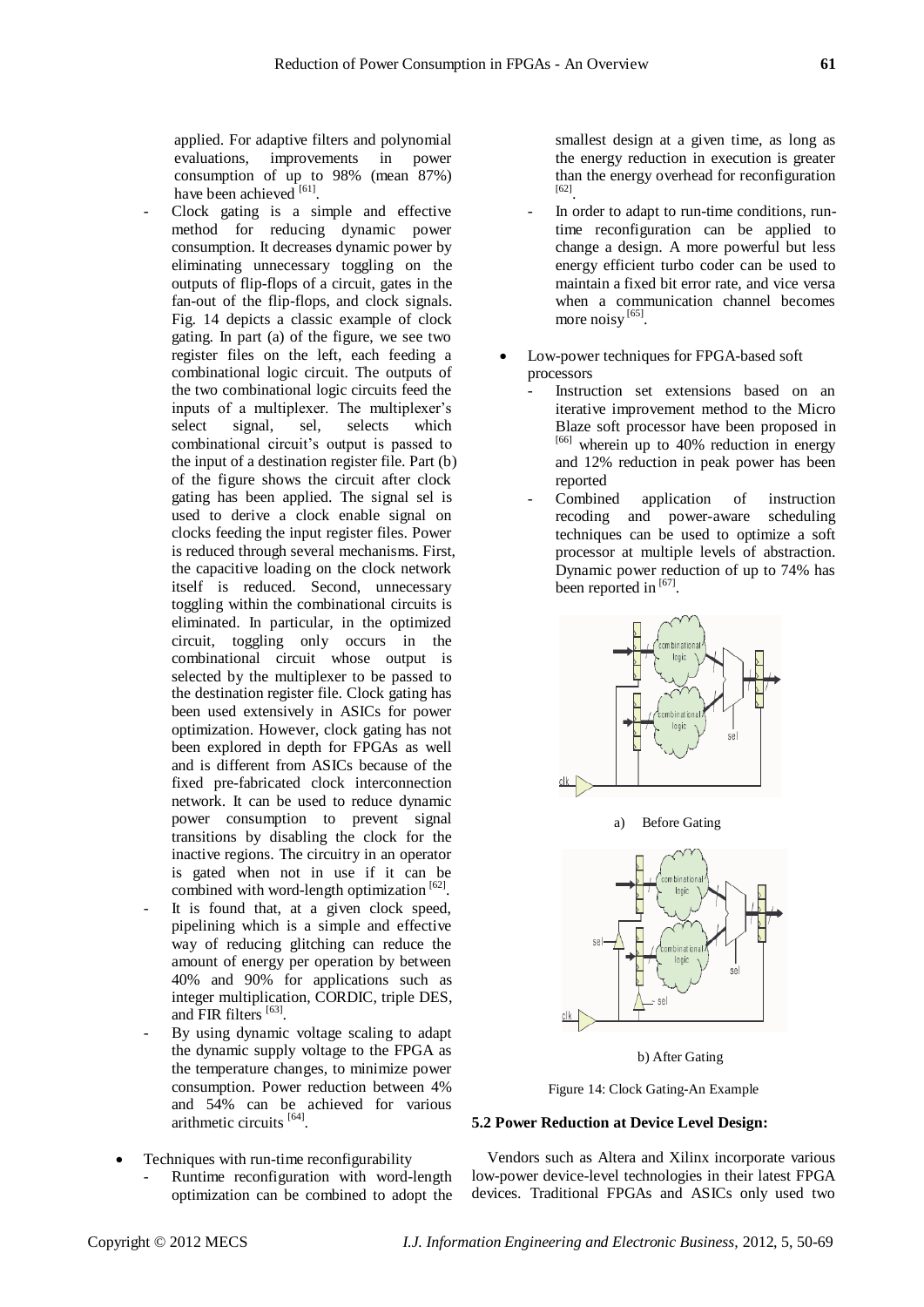applied. For adaptive filters and polynomial evaluations, improvements in power consumption of up to 98% (mean 87%) have been achieved [61].

- Clock gating is a simple and effective method for reducing dynamic power consumption. It decreases dynamic power by eliminating unnecessary toggling on the outputs of flip-flops of a circuit, gates in the fan-out of the flip-flops, and clock signals. Fig. 14 depicts a classic example of clock gating. In part (a) of the figure, we see two register files on the left, each feeding a combinational logic circuit. The outputs of the two combinational logic circuits feed the inputs of a multiplexer. The multiplexer's select signal, sel, selects which combinational circuit's output is passed to the input of a destination register file. Part (b) of the figure shows the circuit after clock gating has been applied. The signal sel is used to derive a clock enable signal on clocks feeding the input register files. Power is reduced through several mechanisms. First, the capacitive loading on the clock network itself is reduced. Second, unnecessary toggling within the combinational circuits is eliminated. In particular, in the optimized circuit, toggling only occurs in the combinational circuit whose output is selected by the multiplexer to be passed to the destination register file. Clock gating has been used extensively in ASICs for power optimization. However, clock gating has not been explored in depth for FPGAs as well and is different from ASICs because of the fixed pre-fabricated clock interconnection network. It can be used to reduce dynamic power consumption to prevent signal transitions by disabling the clock for the inactive regions. The circuitry in an operator is gated when not in use if it can be combined with word-length optimization [62].
- It is found that, at a given clock speed, pipelining which is a simple and effective way of reducing glitching can reduce the amount of energy per operation by between 40% and 90% for applications such as integer multiplication, CORDIC, triple DES, and FIR filters [63].
- By using dynamic voltage scaling to adapt the dynamic supply voltage to the FPGA as the temperature changes, to minimize power consumption. Power reduction between 4% and 54% can be achieved for various arithmetic circuits [64].
- Techniques with run-time reconfigurability
	- Runtime reconfiguration with word-length optimization can be combined to adopt the

smallest design at a given time, as long as the energy reduction in execution is greater than the energy overhead for reconfiguration [62] .

- In order to adapt to run-time conditions, runtime reconfiguration can be applied to change a design. A more powerful but less energy efficient turbo coder can be used to maintain a fixed bit error rate, and vice versa when a communication channel becomes more noisy [65].
- Low-power techniques for FPGA-based soft processors
	- Instruction set extensions based on an iterative improvement method to the Micro Blaze soft processor have been proposed in [66] wherein up to 40% reduction in energy and 12% reduction in peak power has been reported
	- Combined application of instruction recoding and power-aware scheduling techniques can be used to optimize a soft processor at multiple levels of abstraction. Dynamic power reduction of up to 74% has been reported in [67].



b) After Gating

 $\alpha$ 

Figure 14: Clock Gating-An Example

## **5.2 Power Reduction at Device Level Design:**

Vendors such as Altera and Xilinx incorporate various low-power device-level technologies in their latest FPGA devices. Traditional FPGAs and ASICs only used two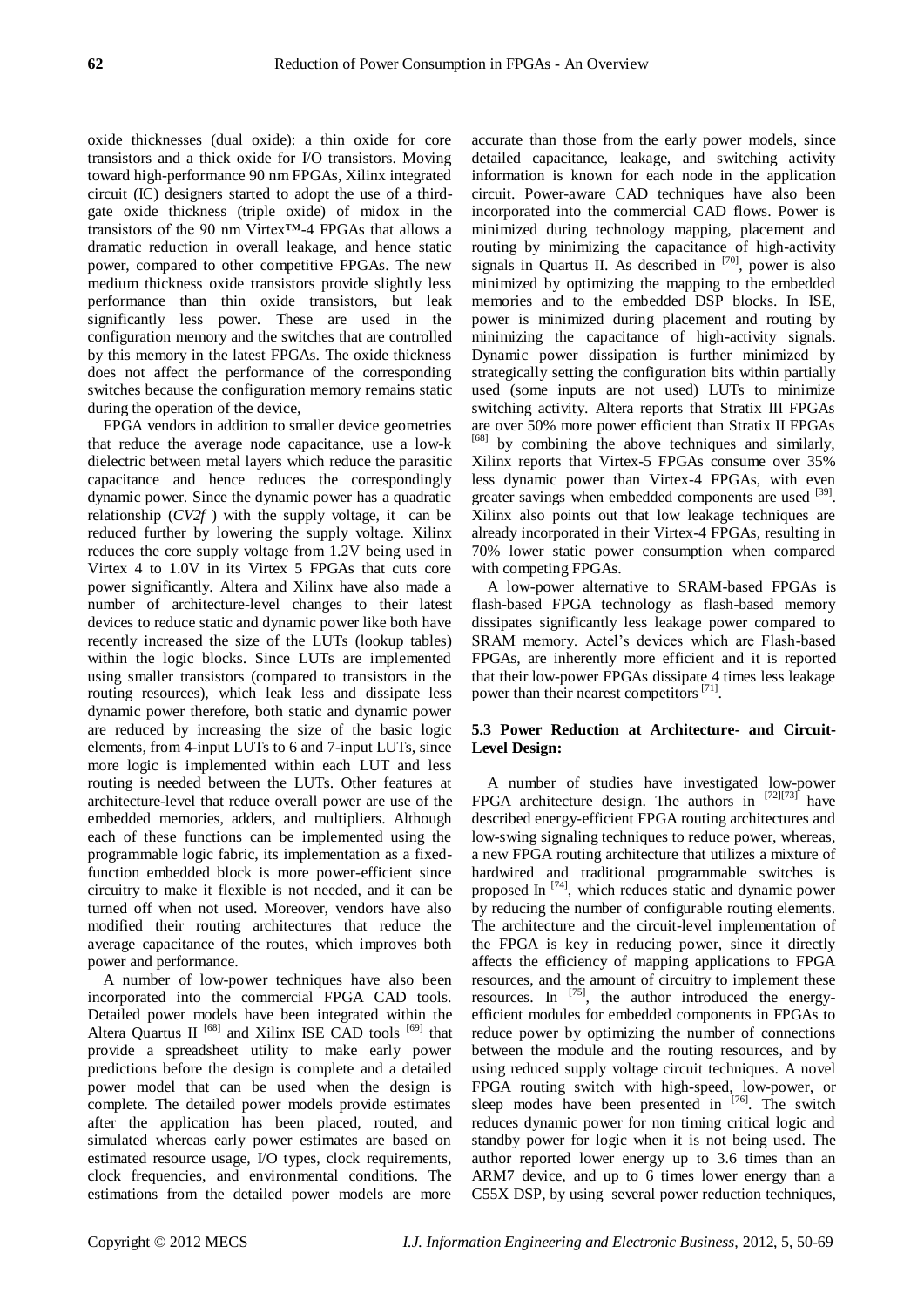oxide thicknesses (dual oxide): a thin oxide for core transistors and a thick oxide for I/O transistors. Moving toward high-performance 90 nm FPGAs, Xilinx integrated circuit (IC) designers started to adopt the use of a thirdgate oxide thickness (triple oxide) of midox in the transistors of the 90 nm Virtex™-4 FPGAs that allows a dramatic reduction in overall leakage, and hence static power, compared to other competitive FPGAs. The new medium thickness oxide transistors provide slightly less performance than thin oxide transistors, but leak significantly less power. These are used in the configuration memory and the switches that are controlled by this memory in the latest FPGAs. The oxide thickness does not affect the performance of the corresponding switches because the configuration memory remains static during the operation of the device,

FPGA vendors in addition to smaller device geometries that reduce the average node capacitance, use a low-k dielectric between metal layers which reduce the parasitic capacitance and hence reduces the correspondingly dynamic power. Since the dynamic power has a quadratic relationship (*CV2f* ) with the supply voltage, it can be reduced further by lowering the supply voltage. Xilinx reduces the core supply voltage from 1.2V being used in Virtex 4 to 1.0V in its Virtex 5 FPGAs that cuts core power significantly. Altera and Xilinx have also made a number of architecture-level changes to their latest devices to reduce static and dynamic power like both have recently increased the size of the LUTs (lookup tables) within the logic blocks. Since LUTs are implemented using smaller transistors (compared to transistors in the routing resources), which leak less and dissipate less dynamic power therefore, both static and dynamic power are reduced by increasing the size of the basic logic elements, from 4-input LUTs to 6 and 7-input LUTs, since more logic is implemented within each LUT and less routing is needed between the LUTs. Other features at architecture-level that reduce overall power are use of the embedded memories, adders, and multipliers. Although each of these functions can be implemented using the programmable logic fabric, its implementation as a fixedfunction embedded block is more power-efficient since circuitry to make it flexible is not needed, and it can be turned off when not used. Moreover, vendors have also modified their routing architectures that reduce the average capacitance of the routes, which improves both power and performance.

A number of low-power techniques have also been incorporated into the commercial FPGA CAD tools. Detailed power models have been integrated within the Altera Quartus  $II$ <sup>[68]</sup> and Xilinx ISE CAD tools<sup>[69]</sup> that provide a spreadsheet utility to make early power predictions before the design is complete and a detailed power model that can be used when the design is complete. The detailed power models provide estimates after the application has been placed, routed, and simulated whereas early power estimates are based on estimated resource usage, I/O types, clock requirements, clock frequencies, and environmental conditions. The estimations from the detailed power models are more

accurate than those from the early power models, since detailed capacitance, leakage, and switching activity information is known for each node in the application circuit. Power-aware CAD techniques have also been incorporated into the commercial CAD flows. Power is minimized during technology mapping, placement and routing by minimizing the capacitance of high-activity signals in Quartus II. As described in  $[70]$ , power is also minimized by optimizing the mapping to the embedded memories and to the embedded DSP blocks. In ISE, power is minimized during placement and routing by minimizing the capacitance of high-activity signals. Dynamic power dissipation is further minimized by strategically setting the configuration bits within partially used (some inputs are not used) LUTs to minimize switching activity. Altera reports that Stratix III FPGAs are over 50% more power efficient than Stratix II FPGAs [68] by combining the above techniques and similarly, Xilinx reports that Virtex-5 FPGAs consume over 35% less dynamic power than Virtex-4 FPGAs, with even greater savings when embedded components are used <sup>[39]</sup>. Xilinx also points out that low leakage techniques are already incorporated in their Virtex-4 FPGAs, resulting in 70% lower static power consumption when compared with competing FPGAs.

A low-power alternative to SRAM-based FPGAs is flash-based FPGA technology as flash-based memory dissipates significantly less leakage power compared to SRAM memory. Actel's devices which are Flash-based FPGAs, are inherently more efficient and it is reported that their low-power FPGAs dissipate 4 times less leakage power than their nearest competitors<sup>[71]</sup>.

## **5.3 Power Reduction at Architecture- and Circuit-Level Design:**

A number of studies have investigated low-power FPGA architecture design. The authors in  $^{[72][73]}$  have described energy-efficient FPGA routing architectures and low-swing signaling techniques to reduce power, whereas, a new FPGA routing architecture that utilizes a mixture of hardwired and traditional programmable switches is proposed In<sup>[74]</sup>, which reduces static and dynamic power by reducing the number of configurable routing elements. The architecture and the circuit-level implementation of the FPGA is key in reducing power, since it directly affects the efficiency of mapping applications to FPGA resources, and the amount of circuitry to implement these resources. In  $^{[75]}$ , the author introduced the energyefficient modules for embedded components in FPGAs to reduce power by optimizing the number of connections between the module and the routing resources, and by using reduced supply voltage circuit techniques. A novel FPGA routing switch with high-speed, low-power, or sleep modes have been presented in <sup>[76]</sup>. The switch reduces dynamic power for non timing critical logic and standby power for logic when it is not being used. The author reported lower energy up to 3.6 times than an ARM7 device, and up to 6 times lower energy than a C55X DSP, by using several power reduction techniques,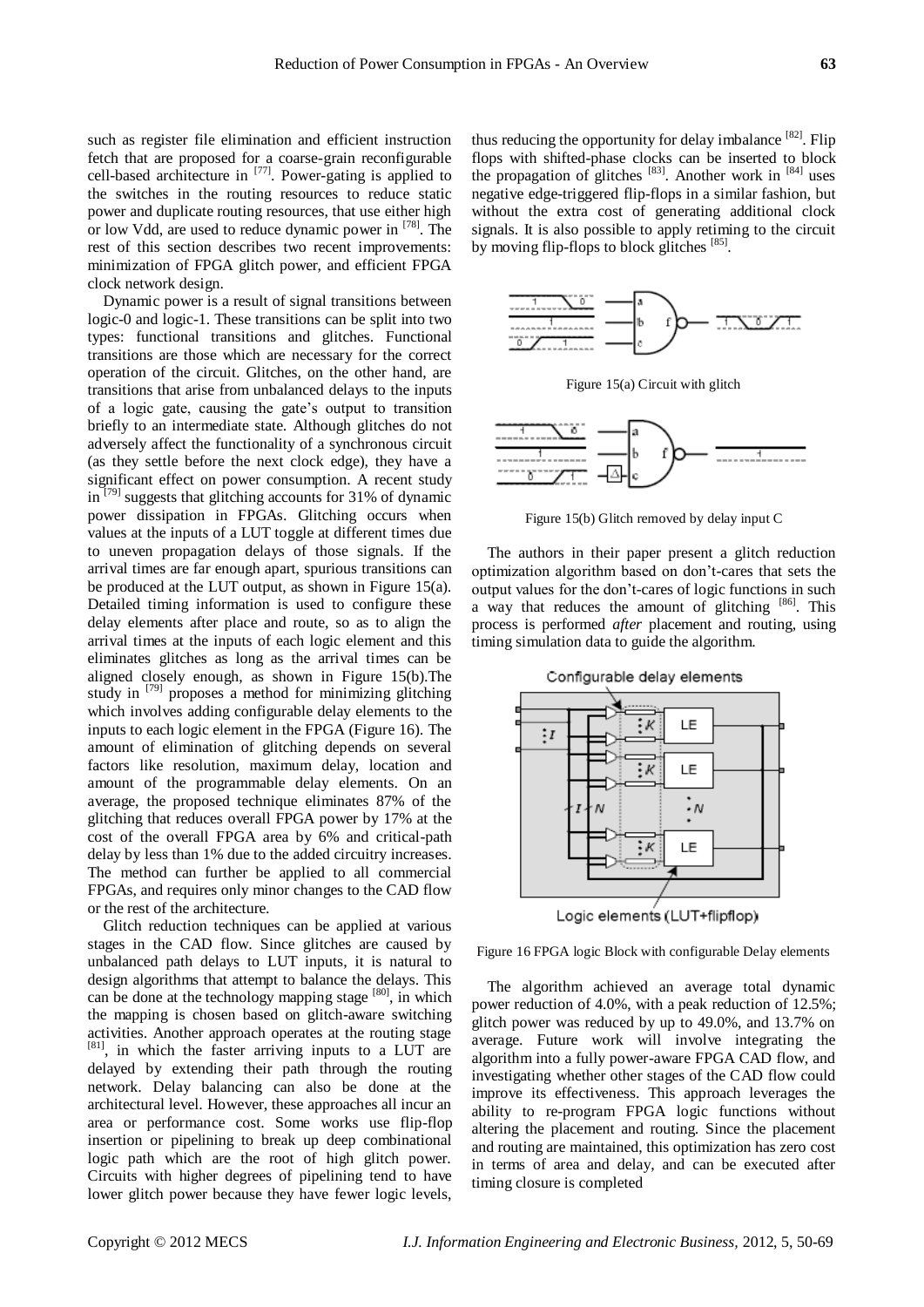such as register file elimination and efficient instruction fetch that are proposed for a coarse-grain reconfigurable cell-based architecture in  $[77]$ . Power-gating is applied to the switches in the routing resources to reduce static power and duplicate routing resources, that use either high or low Vdd, are used to reduce dynamic power in <sup>[78]</sup>. The rest of this section describes two recent improvements: minimization of FPGA glitch power, and efficient FPGA clock network design.

Dynamic power is a result of signal transitions between logic-0 and logic-1. These transitions can be split into two types: functional transitions and glitches. Functional transitions are those which are necessary for the correct operation of the circuit. Glitches, on the other hand, are transitions that arise from unbalanced delays to the inputs of a logic gate, causing the gate's output to transition briefly to an intermediate state. Although glitches do not adversely affect the functionality of a synchronous circuit (as they settle before the next clock edge), they have a significant effect on power consumption. A recent study in<sup>[79]</sup> suggests that glitching accounts for 31% of dynamic power dissipation in FPGAs. Glitching occurs when values at the inputs of a LUT toggle at different times due to uneven propagation delays of those signals. If the arrival times are far enough apart, spurious transitions can be produced at the LUT output, as shown in Figure 15(a). Detailed timing information is used to configure these delay elements after place and route, so as to align the arrival times at the inputs of each logic element and this eliminates glitches as long as the arrival times can be aligned closely enough, as shown in Figure 15(b).The study in <sup>[79]</sup> proposes a method for minimizing glitching which involves adding configurable delay elements to the inputs to each logic element in the FPGA (Figure 16). The amount of elimination of glitching depends on several factors like resolution, maximum delay, location and amount of the programmable delay elements. On an average, the proposed technique eliminates 87% of the glitching that reduces overall FPGA power by 17% at the cost of the overall FPGA area by 6% and critical-path delay by less than 1% due to the added circuitry increases. The method can further be applied to all commercial FPGAs, and requires only minor changes to the CAD flow or the rest of the architecture.

Glitch reduction techniques can be applied at various stages in the CAD flow. Since glitches are caused by unbalanced path delays to LUT inputs, it is natural to design algorithms that attempt to balance the delays. This can be done at the technology mapping stage [80], in which the mapping is chosen based on glitch-aware switching activities. Another approach operates at the routing stage [81], in which the faster arriving inputs to a LUT are delayed by extending their path through the routing network. Delay balancing can also be done at the architectural level. However, these approaches all incur an area or performance cost. Some works use flip-flop insertion or pipelining to break up deep combinational logic path which are the root of high glitch power. Circuits with higher degrees of pipelining tend to have lower glitch power because they have fewer logic levels,

thus reducing the opportunity for delay imbalance  $[82]$ . Flip flops with shifted-phase clocks can be inserted to block the propagation of glitches  $[83]$ . Another work in  $[84]$  uses negative edge-triggered flip-flops in a similar fashion, but without the extra cost of generating additional clock signals. It is also possible to apply retiming to the circuit by moving flip-flops to block glitches [85].



Figure 15(a) Circuit with glitch



Figure 15(b) Glitch removed by delay input C

The authors in their paper present a glitch reduction optimization algorithm based on don't-cares that sets the output values for the don't-cares of logic functions in such a way that reduces the amount of glitching  $[86]$ . This process is performed *after* placement and routing, using timing simulation data to guide the algorithm.



Configurable delay elements

Figure 16 FPGA logic Block with configurable Delay elements

The algorithm achieved an average total dynamic power reduction of 4.0%, with a peak reduction of 12.5%; glitch power was reduced by up to 49.0%, and 13.7% on average. Future work will involve integrating the algorithm into a fully power-aware FPGA CAD flow, and investigating whether other stages of the CAD flow could improve its effectiveness. This approach leverages the ability to re-program FPGA logic functions without altering the placement and routing. Since the placement and routing are maintained, this optimization has zero cost in terms of area and delay, and can be executed after timing closure is completed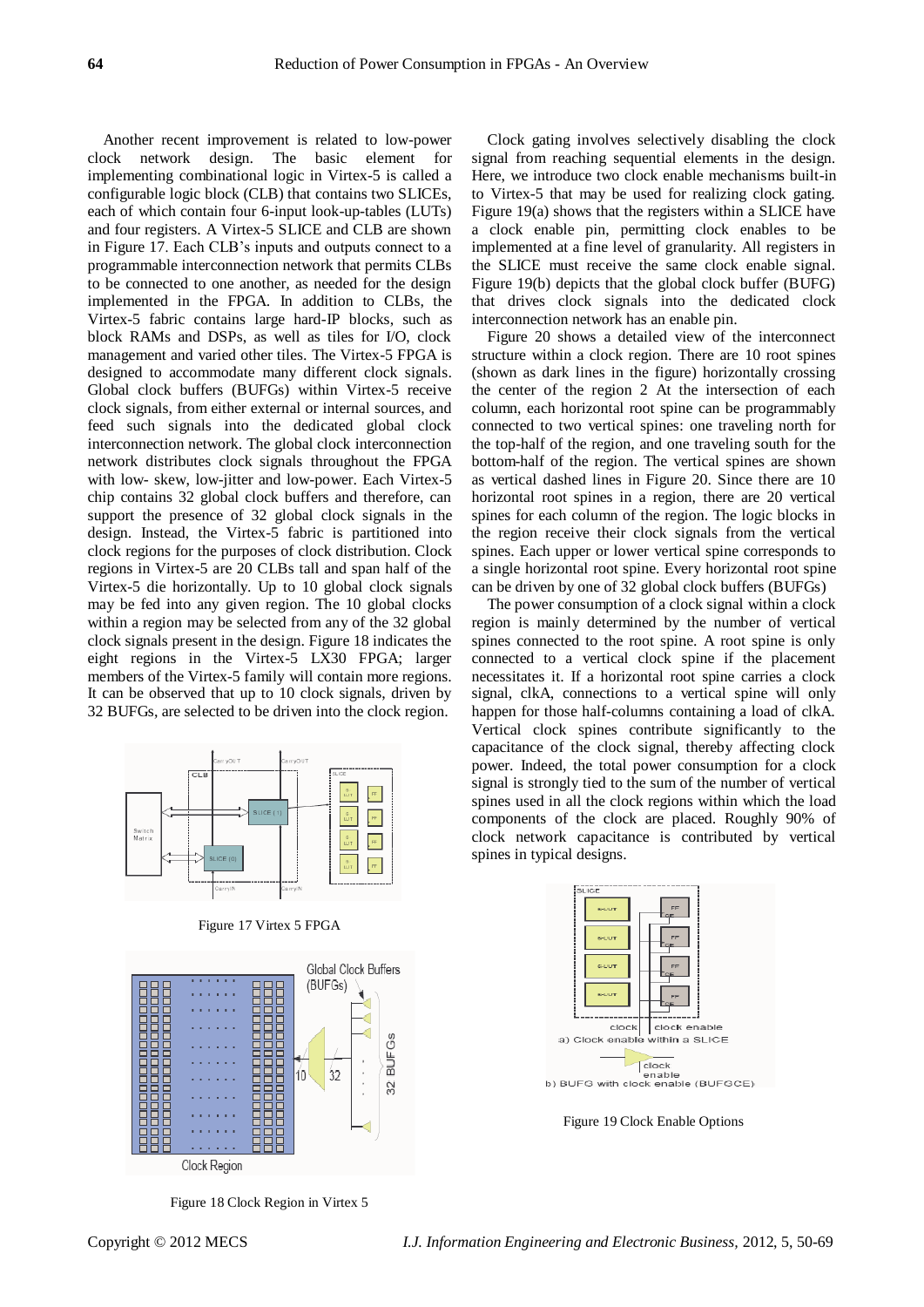Another recent improvement is related to low-power clock network design. The basic element for implementing combinational logic in Virtex-5 is called a configurable logic block (CLB) that contains two SLICEs, each of which contain four 6-input look-up-tables (LUTs) and four registers. A Virtex-5 SLICE and CLB are shown in Figure 17. Each CLB's inputs and outputs connect to a programmable interconnection network that permits CLBs to be connected to one another, as needed for the design implemented in the FPGA. In addition to CLBs, the Virtex-5 fabric contains large hard-IP blocks, such as block RAMs and DSPs, as well as tiles for I/O, clock management and varied other tiles. The Virtex-5 FPGA is designed to accommodate many different clock signals. Global clock buffers (BUFGs) within Virtex-5 receive clock signals, from either external or internal sources, and feed such signals into the dedicated global clock interconnection network. The global clock interconnection network distributes clock signals throughout the FPGA with low- skew, low-jitter and low-power. Each Virtex-5 chip contains 32 global clock buffers and therefore, can support the presence of 32 global clock signals in the design. Instead, the Virtex-5 fabric is partitioned into clock regions for the purposes of clock distribution. Clock regions in Virtex-5 are 20 CLBs tall and span half of the Virtex-5 die horizontally. Up to 10 global clock signals may be fed into any given region. The 10 global clocks within a region may be selected from any of the 32 global clock signals present in the design. Figure 18 indicates the eight regions in the Virtex-5 LX30 FPGA; larger members of the Virtex-5 family will contain more regions. It can be observed that up to 10 clock signals, driven by 32 BUFGs, are selected to be driven into the clock region.



Figure 17 Virtex 5 FPGA



Figure 18 Clock Region in Virtex 5

Clock gating involves selectively disabling the clock signal from reaching sequential elements in the design. Here, we introduce two clock enable mechanisms built-in to Virtex-5 that may be used for realizing clock gating. Figure 19(a) shows that the registers within a SLICE have a clock enable pin, permitting clock enables to be implemented at a fine level of granularity. All registers in the SLICE must receive the same clock enable signal. Figure 19(b) depicts that the global clock buffer (BUFG) that drives clock signals into the dedicated clock interconnection network has an enable pin.

Figure 20 shows a detailed view of the interconnect structure within a clock region. There are 10 root spines (shown as dark lines in the figure) horizontally crossing the center of the region 2 At the intersection of each column, each horizontal root spine can be programmably connected to two vertical spines: one traveling north for the top-half of the region, and one traveling south for the bottom-half of the region. The vertical spines are shown as vertical dashed lines in Figure 20. Since there are 10 horizontal root spines in a region, there are 20 vertical spines for each column of the region. The logic blocks in the region receive their clock signals from the vertical spines. Each upper or lower vertical spine corresponds to a single horizontal root spine. Every horizontal root spine can be driven by one of 32 global clock buffers (BUFGs)

The power consumption of a clock signal within a clock region is mainly determined by the number of vertical spines connected to the root spine. A root spine is only connected to a vertical clock spine if the placement necessitates it. If a horizontal root spine carries a clock signal, clkA, connections to a vertical spine will only happen for those half-columns containing a load of clkA. Vertical clock spines contribute significantly to the capacitance of the clock signal, thereby affecting clock power. Indeed, the total power consumption for a clock signal is strongly tied to the sum of the number of vertical spines used in all the clock regions within which the load components of the clock are placed. Roughly 90% of clock network capacitance is contributed by vertical spines in typical designs.



Figure 19 Clock Enable Options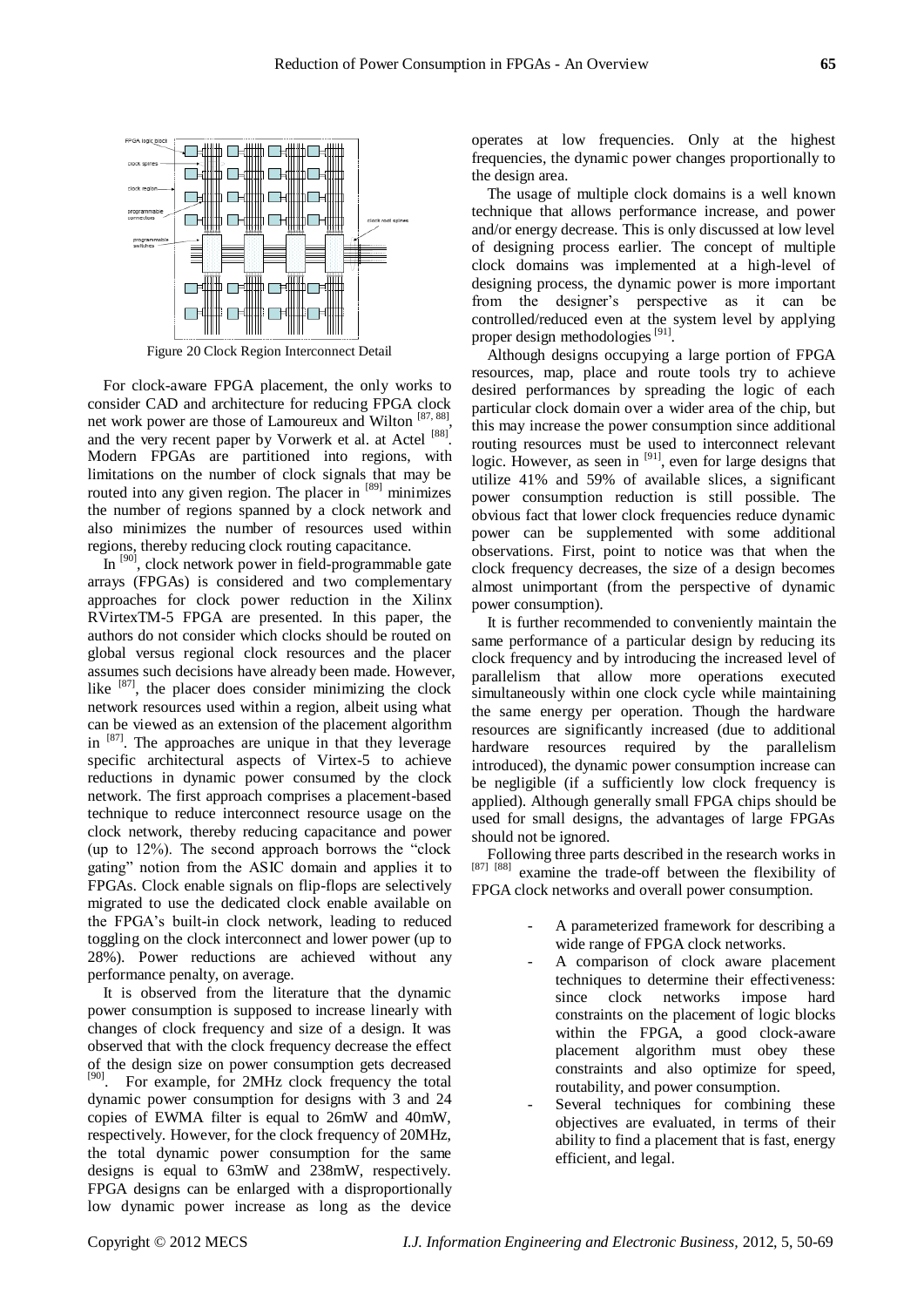

Figure 20 Clock Region Interconnect Detail

For clock-aware FPGA placement, the only works to consider CAD and architecture for reducing FPGA clock net work power are those of Lamoureux and Wilton [87, 88], and the very recent paper by Vorwerk et al. at Actel [88]. Modern FPGAs are partitioned into regions, with limitations on the number of clock signals that may be routed into any given region. The placer in [89] minimizes the number of regions spanned by a clock network and also minimizes the number of resources used within regions, thereby reducing clock routing capacitance.

In <sup>[90]</sup>, clock network power in field-programmable gate arrays (FPGAs) is considered and two complementary approaches for clock power reduction in the Xilinx RVirtexTM-5 FPGA are presented. In this paper, the authors do not consider which clocks should be routed on global versus regional clock resources and the placer assumes such decisions have already been made. However, like  $[87]$ , the placer does consider minimizing the clock network resources used within a region, albeit using what can be viewed as an extension of the placement algorithm in  $[87]$ . The approaches are unique in that they leverage specific architectural aspects of Virtex-5 to achieve reductions in dynamic power consumed by the clock network. The first approach comprises a placement-based technique to reduce interconnect resource usage on the clock network, thereby reducing capacitance and power (up to  $12\%$ ). The second approach borrows the "clock" gating" notion from the ASIC domain and applies it to FPGAs. Clock enable signals on flip-flops are selectively migrated to use the dedicated clock enable available on the FPGA's built-in clock network, leading to reduced toggling on the clock interconnect and lower power (up to 28%). Power reductions are achieved without any performance penalty, on average.

It is observed from the literature that the dynamic power consumption is supposed to increase linearly with changes of clock frequency and size of a design. It was observed that with the clock frequency decrease the effect of the design size on power consumption gets decreased [90]. For example, for 2MHz clock frequency the total dynamic power consumption for designs with 3 and 24 copies of EWMA filter is equal to 26mW and 40mW, respectively. However, for the clock frequency of 20MHz, the total dynamic power consumption for the same designs is equal to 63mW and 238mW, respectively. FPGA designs can be enlarged with a disproportionally low dynamic power increase as long as the device

operates at low frequencies. Only at the highest frequencies, the dynamic power changes proportionally to the design area.

The usage of multiple clock domains is a well known technique that allows performance increase, and power and/or energy decrease. This is only discussed at low level of designing process earlier. The concept of multiple clock domains was implemented at a high-level of designing process, the dynamic power is more important from the designer's perspective as it can be controlled/reduced even at the system level by applying proper design methodologies<sup>[91]</sup>.

Although designs occupying a large portion of FPGA resources, map, place and route tools try to achieve desired performances by spreading the logic of each particular clock domain over a wider area of the chip, but this may increase the power consumption since additional routing resources must be used to interconnect relevant logic. However, as seen in <sup>[91]</sup>, even for large designs that utilize 41% and 59% of available slices, a significant power consumption reduction is still possible. The obvious fact that lower clock frequencies reduce dynamic power can be supplemented with some additional observations. First, point to notice was that when the clock frequency decreases, the size of a design becomes almost unimportant (from the perspective of dynamic power consumption).

It is further recommended to conveniently maintain the same performance of a particular design by reducing its clock frequency and by introducing the increased level of parallelism that allow more operations executed simultaneously within one clock cycle while maintaining the same energy per operation. Though the hardware resources are significantly increased (due to additional hardware resources required by the parallelism introduced), the dynamic power consumption increase can be negligible (if a sufficiently low clock frequency is applied). Although generally small FPGA chips should be used for small designs, the advantages of large FPGAs should not be ignored.

Following three parts described in the research works in [87] [88] examine the trade-off between the flexibility of FPGA clock networks and overall power consumption.

- A parameterized framework for describing a wide range of FPGA clock networks.
- A comparison of clock aware placement techniques to determine their effectiveness: since clock networks impose hard constraints on the placement of logic blocks within the FPGA, a good clock-aware placement algorithm must obey these constraints and also optimize for speed, routability, and power consumption.
- Several techniques for combining these objectives are evaluated, in terms of their ability to find a placement that is fast, energy efficient, and legal.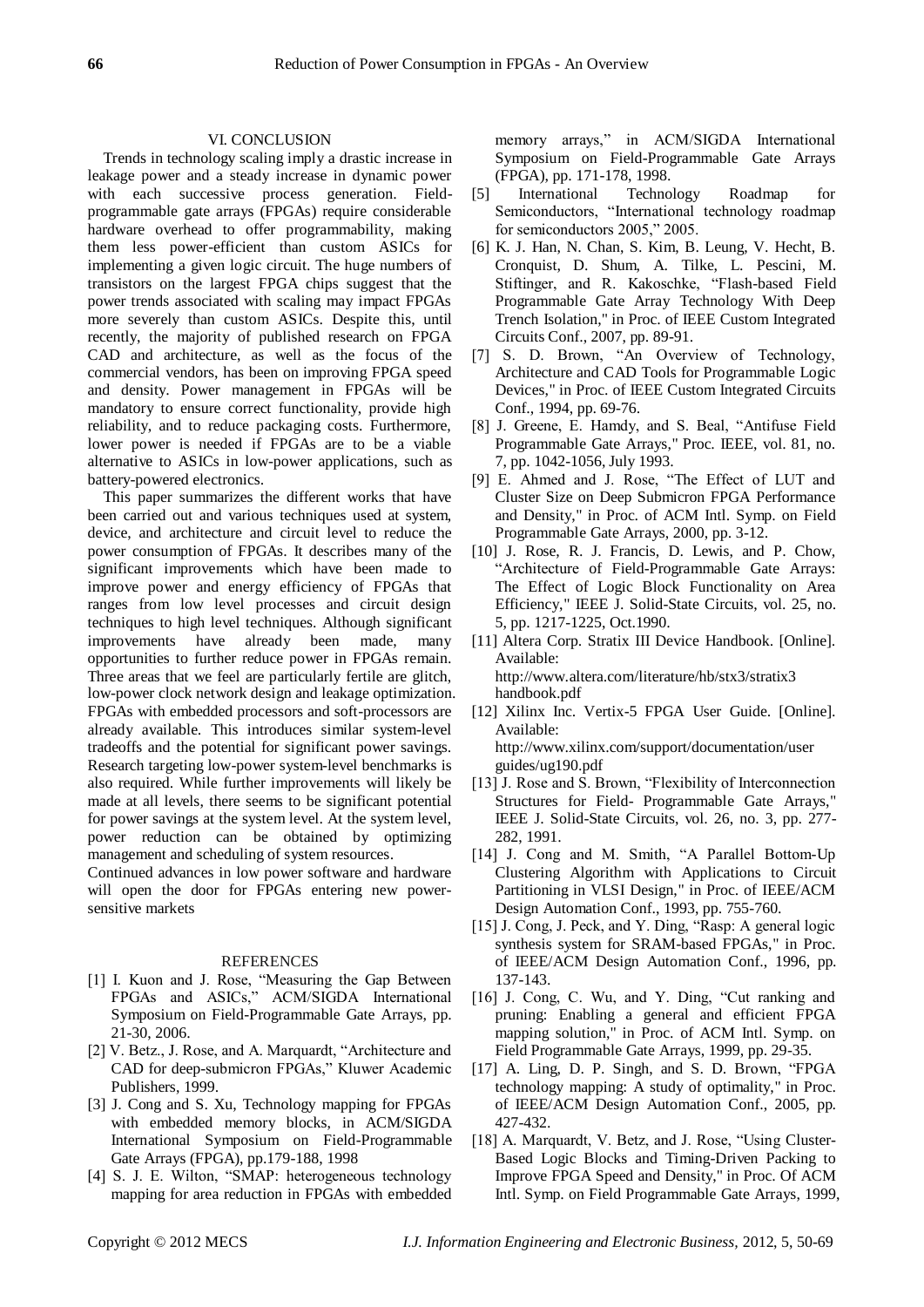## VI. CONCLUSION

Trends in technology scaling imply a drastic increase in leakage power and a steady increase in dynamic power with each successive process generation. Fieldprogrammable gate arrays (FPGAs) require considerable hardware overhead to offer programmability, making them less power-efficient than custom ASICs for implementing a given logic circuit. The huge numbers of transistors on the largest FPGA chips suggest that the power trends associated with scaling may impact FPGAs more severely than custom ASICs. Despite this, until recently, the majority of published research on FPGA CAD and architecture, as well as the focus of the commercial vendors, has been on improving FPGA speed and density. Power management in FPGAs will be mandatory to ensure correct functionality, provide high reliability, and to reduce packaging costs. Furthermore, lower power is needed if FPGAs are to be a viable alternative to ASICs in low-power applications, such as battery-powered electronics.

This paper summarizes the different works that have been carried out and various techniques used at system, device, and architecture and circuit level to reduce the power consumption of FPGAs. It describes many of the significant improvements which have been made to improve power and energy efficiency of FPGAs that ranges from low level processes and circuit design techniques to high level techniques. Although significant improvements have already been made, many opportunities to further reduce power in FPGAs remain. Three areas that we feel are particularly fertile are glitch, low-power clock network design and leakage optimization. FPGAs with embedded processors and soft-processors are already available. This introduces similar system-level tradeoffs and the potential for significant power savings. Research targeting low-power system-level benchmarks is also required. While further improvements will likely be made at all levels, there seems to be significant potential for power savings at the system level. At the system level, power reduction can be obtained by optimizing management and scheduling of system resources.

Continued advances in low power software and hardware will open the door for FPGAs entering new powersensitive markets

#### REFERENCES

- [1] I. Kuon and J. Rose, "Measuring the Gap Between FPGAs and ASICs," ACM/SIGDA International Symposium on Field-Programmable Gate Arrays, pp. 21-30, 2006.
- [2] V. Betz., J. Rose, and A. Marquardt, "Architecture and CAD for deep-submicron FPGAs," Kluwer Academic Publishers, 1999.
- [3] J. Cong and S. Xu, Technology mapping for FPGAs with embedded memory blocks, in ACM/SIGDA International Symposium on Field-Programmable Gate Arrays (FPGA), pp.179-188, 1998
- [4] S. J. E. Wilton, "SMAP: heterogeneous technology mapping for area reduction in FPGAs with embedded

memory arrays," in ACM/SIGDA International Symposium on Field-Programmable Gate Arrays (FPGA), pp. 171-178, 1998.

- [5] International Technology Roadmap for Semiconductors, "International technology roadmap for semiconductors 2005," 2005.
- [6] K. J. Han, N. Chan, S. Kim, B. Leung, V. Hecht, B. Cronquist, D. Shum, A. Tilke, L. Pescini, M. Stiftinger, and R. Kakoschke, "Flash-based Field Programmable Gate Array Technology With Deep Trench Isolation," in Proc. of IEEE Custom Integrated Circuits Conf., 2007, pp. 89-91.
- [7] S. D. Brown, "An Overview of Technology, Architecture and CAD Tools for Programmable Logic Devices," in Proc. of IEEE Custom Integrated Circuits Conf., 1994, pp. 69-76.
- [8] J. Greene, E. Hamdy, and S. Beal, "Antifuse Field Programmable Gate Arrays," Proc. IEEE, vol. 81, no. 7, pp. 1042-1056, July 1993.
- [9] E. Ahmed and J. Rose, "The Effect of LUT and Cluster Size on Deep Submicron FPGA Performance and Density," in Proc. of ACM Intl. Symp. on Field Programmable Gate Arrays, 2000, pp. 3-12.
- [10] J. Rose, R. J. Francis, D. Lewis, and P. Chow, ―Architecture of Field-Programmable Gate Arrays: The Effect of Logic Block Functionality on Area Efficiency," IEEE J. Solid-State Circuits, vol. 25, no. 5, pp. 1217-1225, Oct.1990.
- [11] Altera Corp. Stratix III Device Handbook. [Online]. Available: http://www.altera.com/literature/hb/stx3/stratix3

handbook.pdf

[12] Xilinx Inc. Vertix-5 FPGA User Guide. [Online]. Available:

[http://www.xilinx.com/support/documentation/user](http://www.xilinx.com/support/documentation/user%20guides/ug190.pdf)  [guides/ug190.pdf](http://www.xilinx.com/support/documentation/user%20guides/ug190.pdf)

- [13] J. Rose and S. Brown, "Flexibility of Interconnection Structures for Field- Programmable Gate Arrays," IEEE J. Solid-State Circuits, vol. 26, no. 3, pp. 277- 282, 1991.
- [14] J. Cong and M. Smith, "A Parallel Bottom-Up Clustering Algorithm with Applications to Circuit Partitioning in VLSI Design," in Proc. of IEEE/ACM Design Automation Conf., 1993, pp. 755-760.
- [15] J. Cong, J. Peck, and Y. Ding, "Rasp: A general logic synthesis system for SRAM-based FPGAs," in Proc. of IEEE/ACM Design Automation Conf., 1996, pp. 137-143.
- [16] J. Cong, C. Wu, and Y. Ding, "Cut ranking and pruning: Enabling a general and efficient FPGA mapping solution," in Proc. of ACM Intl. Symp. on Field Programmable Gate Arrays, 1999, pp. 29-35.
- [17] A. Ling, D. P. Singh, and S. D. Brown, "FPGA technology mapping: A study of optimality," in Proc. of IEEE/ACM Design Automation Conf., 2005, pp. 427-432.
- [18] A. Marquardt, V. Betz, and J. Rose, "Using Cluster-Based Logic Blocks and Timing-Driven Packing to Improve FPGA Speed and Density," in Proc. Of ACM Intl. Symp. on Field Programmable Gate Arrays, 1999,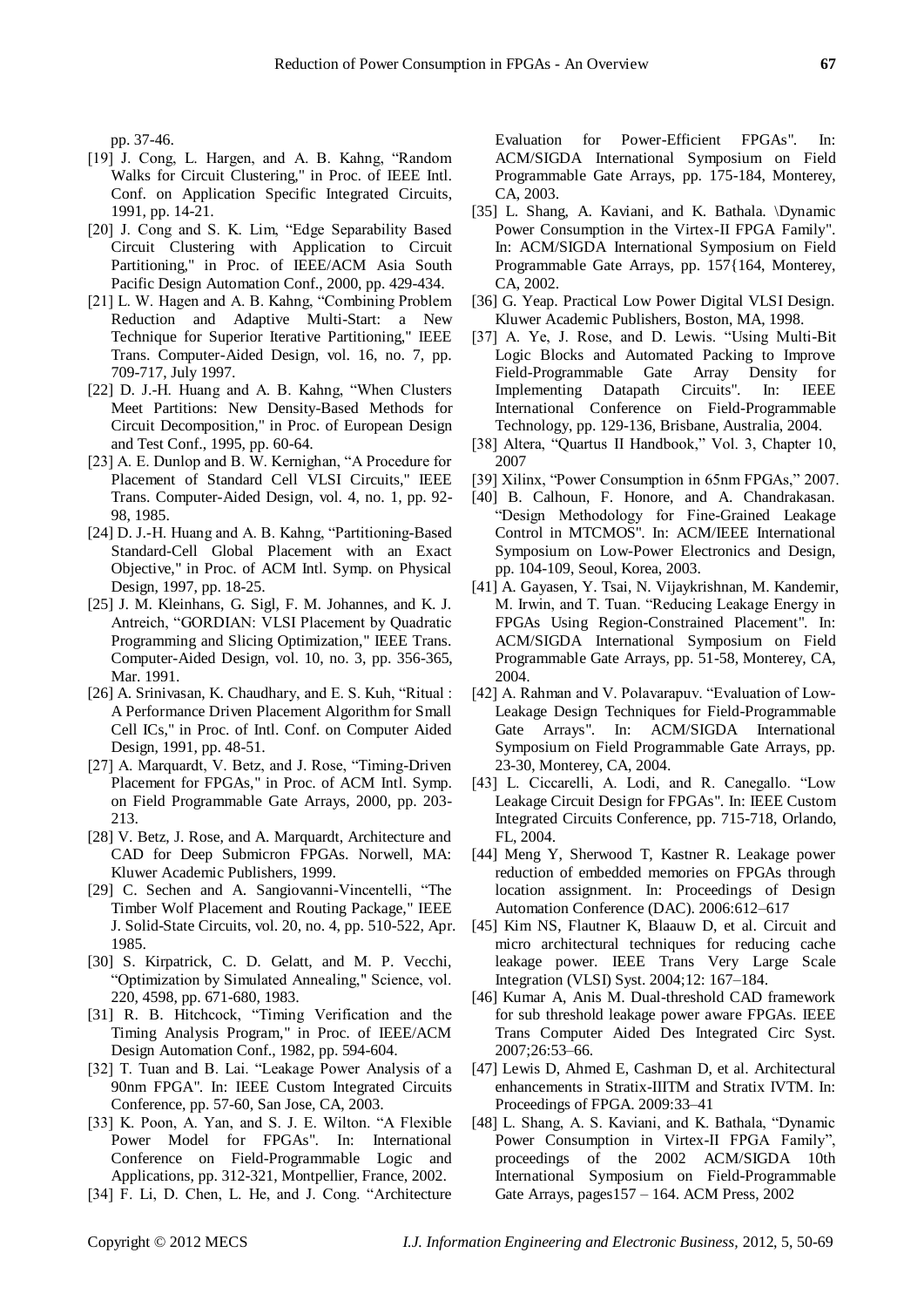pp. 37-46.

- [19] J. Cong, L. Hargen, and A. B. Kahng, "Random Walks for Circuit Clustering," in Proc. of IEEE Intl. Conf. on Application Specific Integrated Circuits, 1991, pp. 14-21.
- [20] J. Cong and S. K. Lim, "Edge Separability Based Circuit Clustering with Application to Circuit Partitioning," in Proc. of IEEE/ACM Asia South Pacific Design Automation Conf., 2000, pp. 429-434.
- [21] L. W. Hagen and A. B. Kahng, "Combining Problem Reduction and Adaptive Multi-Start: a New Technique for Superior Iterative Partitioning," IEEE Trans. Computer-Aided Design, vol. 16, no. 7, pp. 709-717, July 1997.
- [22] D. J.-H. Huang and A. B. Kahng, "When Clusters Meet Partitions: New Density-Based Methods for Circuit Decomposition," in Proc. of European Design and Test Conf., 1995, pp. 60-64.
- [23] A. E. Dunlop and B. W. Kernighan, "A Procedure for Placement of Standard Cell VLSI Circuits," IEEE Trans. Computer-Aided Design, vol. 4, no. 1, pp. 92- 98, 1985.
- [24] D. J.-H. Huang and A. B. Kahng, "Partitioning-Based Standard-Cell Global Placement with an Exact Objective," in Proc. of ACM Intl. Symp. on Physical Design, 1997, pp. 18-25.
- [25] J. M. Kleinhans, G. Sigl, F. M. Johannes, and K. J. Antreich, "GORDIAN: VLSI Placement by Quadratic Programming and Slicing Optimization," IEEE Trans. Computer-Aided Design, vol. 10, no. 3, pp. 356-365, Mar. 1991.
- [26] A. Srinivasan, K. Chaudhary, and E. S. Kuh, "Ritual : A Performance Driven Placement Algorithm for Small Cell ICs," in Proc. of Intl. Conf. on Computer Aided Design, 1991, pp. 48-51.
- [27] A. Marquardt, V. Betz, and J. Rose, "Timing-Driven Placement for FPGAs," in Proc. of ACM Intl. Symp. on Field Programmable Gate Arrays, 2000, pp. 203- 213.
- [28] V. Betz, J. Rose, and A. Marquardt, Architecture and CAD for Deep Submicron FPGAs. Norwell, MA: Kluwer Academic Publishers, 1999.
- [29] C. Sechen and A. Sangiovanni-Vincentelli, "The Timber Wolf Placement and Routing Package," IEEE J. Solid-State Circuits, vol. 20, no. 4, pp. 510-522, Apr. 1985.
- [30] S. Kirpatrick, C. D. Gelatt, and M. P. Vecchi, ―Optimization by Simulated Annealing," Science, vol. 220, 4598, pp. 671-680, 1983.
- [31] R. B. Hitchcock, "Timing Verification and the Timing Analysis Program," in Proc. of IEEE/ACM Design Automation Conf., 1982, pp. 594-604.
- [32] T. Tuan and B. Lai. "Leakage Power Analysis of a 90nm FPGA". In: IEEE Custom Integrated Circuits Conference, pp. 57-60, San Jose, CA, 2003.
- [33] K. Poon, A. Yan, and S. J. E. Wilton. "A Flexible Power Model for FPGAs". In: International Conference on Field-Programmable Logic and Applications, pp. 312-321, Montpellier, France, 2002.
- [34] F. Li, D. Chen, L. He, and J. Cong. "Architecture

Evaluation for Power-Efficient FPGAs". In: ACM/SIGDA International Symposium on Field Programmable Gate Arrays, pp. 175-184, Monterey, CA, 2003.

- [35] L. Shang, A. Kaviani, and K. Bathala. \Dynamic Power Consumption in the Virtex-II FPGA Family". In: ACM/SIGDA International Symposium on Field Programmable Gate Arrays, pp. 157{164, Monterey, CA, 2002.
- [36] G. Yeap. Practical Low Power Digital VLSI Design. Kluwer Academic Publishers, Boston, MA, 1998.
- [37] A. Ye, J. Rose, and D. Lewis. "Using Multi-Bit Logic Blocks and Automated Packing to Improve Field-Programmable Gate Array Density for Implementing Datapath Circuits". In: IEEE International Conference on Field-Programmable Technology, pp. 129-136, Brisbane, Australia, 2004.
- [38] Altera, "Quartus II Handbook," Vol. 3, Chapter 10, 2007
- [39] Xilinx, "Power Consumption in 65nm FPGAs," 2007.
- [40] B. Calhoun, F. Honore, and A. Chandrakasan. ―Design Methodology for Fine-Grained Leakage Control in MTCMOS". In: ACM/IEEE International Symposium on Low-Power Electronics and Design, pp. 104-109, Seoul, Korea, 2003.
- [41] A. Gayasen, Y. Tsai, N. Vijaykrishnan, M. Kandemir, M. Irwin, and T. Tuan. "Reducing Leakage Energy in FPGAs Using Region-Constrained Placement". In: ACM/SIGDA International Symposium on Field Programmable Gate Arrays, pp. 51-58, Monterey, CA, 2004.
- [42] A. Rahman and V. Polavarapuv. "Evaluation of Low-Leakage Design Techniques for Field-Programmable Gate Arrays". In: ACM/SIGDA International Symposium on Field Programmable Gate Arrays, pp. 23-30, Monterey, CA, 2004.
- [43] L. Ciccarelli, A. Lodi, and R. Canegallo. "Low Leakage Circuit Design for FPGAs". In: IEEE Custom Integrated Circuits Conference, pp. 715-718, Orlando, FL, 2004.
- [44] Meng Y, Sherwood T, Kastner R. Leakage power reduction of embedded memories on FPGAs through location assignment. In: Proceedings of Design Automation Conference (DAC). 2006:612–617
- [45] Kim NS, Flautner K, Blaauw D, et al. Circuit and micro architectural techniques for reducing cache leakage power. IEEE Trans Very Large Scale Integration (VLSI) Syst. 2004;12: 167–184.
- [46] Kumar A, Anis M. Dual-threshold CAD framework for sub threshold leakage power aware FPGAs. IEEE Trans Computer Aided Des Integrated Circ Syst. 2007;26:53–66.
- [47] Lewis D, Ahmed E, Cashman D, et al. Architectural enhancements in Stratix-IIITM and Stratix IVTM. In: Proceedings of FPGA. 2009:33–41
- [48] L. Shang, A. S. Kaviani, and K. Bathala, "Dynamic Power Consumption in Virtex-II FPGA Family", proceedings of the 2002 ACM/SIGDA 10th International Symposium on Field-Programmable Gate Arrays, pages157 – 164. ACM Press, 2002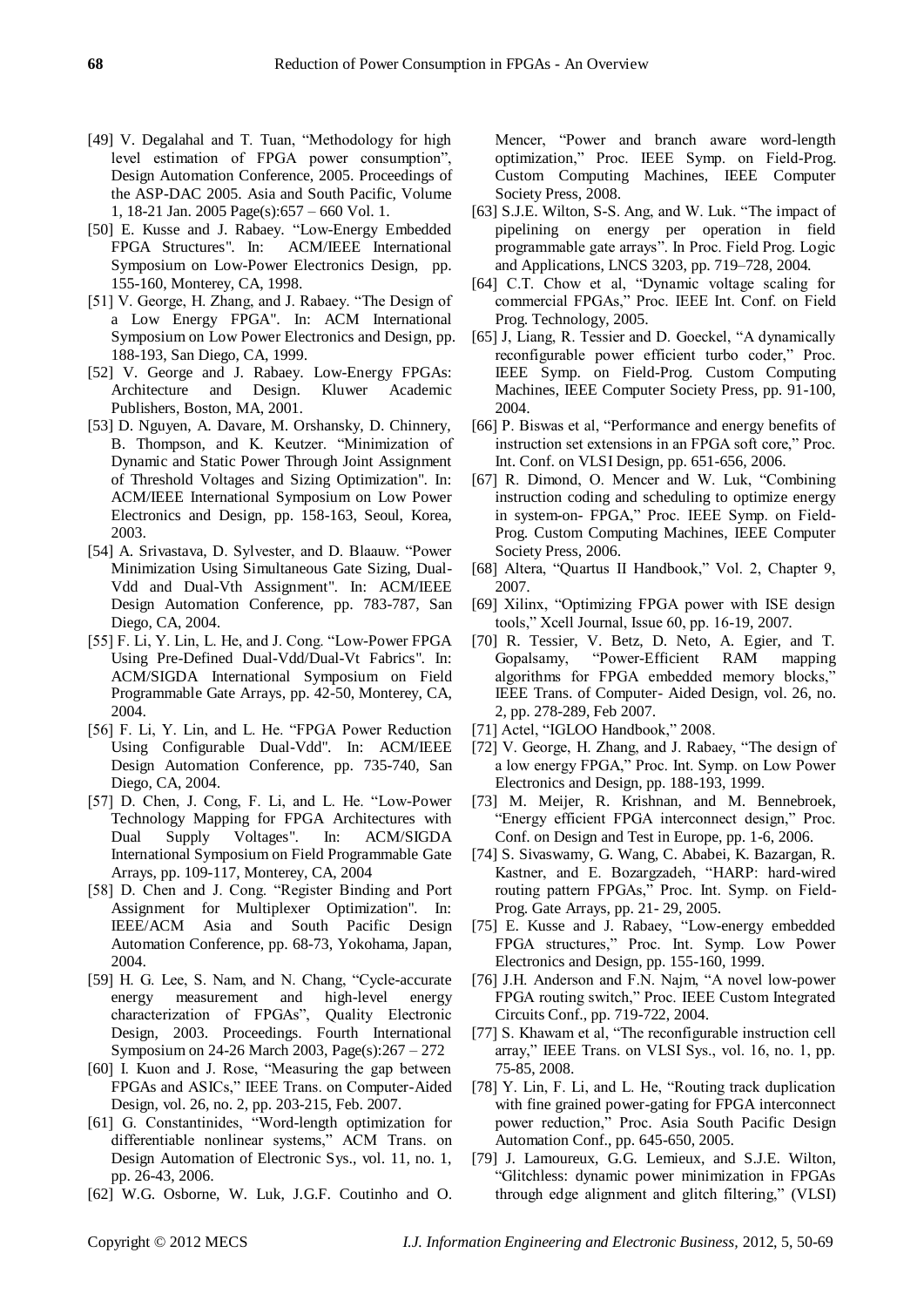- [49] V. Degalahal and T. Tuan, "Methodology for high level estimation of FPGA power consumption", Design Automation Conference, 2005. Proceedings of the ASP-DAC 2005. Asia and South Pacific, Volume 1, 18-21 Jan. 2005 Page(s):657 – 660 Vol. 1.
- [50] E. Kusse and J. Rabaey. "Low-Energy Embedded FPGA Structures". In: ACM/IEEE International Symposium on Low-Power Electronics Design, pp. 155-160, Monterey, CA, 1998.
- [51] V. George, H. Zhang, and J. Rabaey. "The Design of a Low Energy FPGA". In: ACM International Symposium on Low Power Electronics and Design, pp. 188-193, San Diego, CA, 1999.
- [52] V. George and J. Rabaey. Low-Energy FPGAs: Architecture and Design. Kluwer Academic Publishers, Boston, MA, 2001.
- [53] D. Nguyen, A. Davare, M. Orshansky, D. Chinnery, B. Thompson, and K. Keutzer. "Minimization of Dynamic and Static Power Through Joint Assignment of Threshold Voltages and Sizing Optimization". In: ACM/IEEE International Symposium on Low Power Electronics and Design, pp. 158-163, Seoul, Korea, 2003.
- [54] A. Srivastava, D. Sylvester, and D. Blaauw. "Power Minimization Using Simultaneous Gate Sizing, Dual-Vdd and Dual-Vth Assignment". In: ACM/IEEE Design Automation Conference, pp. 783-787, San Diego, CA, 2004.
- [55] F. Li, Y. Lin, L. He, and J. Cong. "Low-Power FPGA Using Pre-Defined Dual-Vdd/Dual-Vt Fabrics". In: ACM/SIGDA International Symposium on Field Programmable Gate Arrays, pp. 42-50, Monterey, CA, 2004.
- [56] F. Li, Y. Lin, and L. He. "FPGA Power Reduction Using Configurable Dual-Vdd". In: ACM/IEEE Design Automation Conference, pp. 735-740, San Diego, CA, 2004.
- [57] D. Chen, J. Cong, F. Li, and L. He. "Low-Power Technology Mapping for FPGA Architectures with Dual Supply Voltages". In: ACM/SIGDA International Symposium on Field Programmable Gate Arrays, pp. 109-117, Monterey, CA, 2004
- [58] D. Chen and J. Cong. "Register Binding and Port Assignment for Multiplexer Optimization". In: IEEE/ACM Asia and South Pacific Design Automation Conference, pp. 68-73, Yokohama, Japan, 2004.
- [59] H. G. Lee, S. Nam, and N. Chang, "Cycle-accurate" energy measurement and high-level energy characterization of FPGAs", Quality Electronic Design, 2003. Proceedings. Fourth International Symposium on 24-26 March 2003, Page(s):267 – 272
- [60] I. Kuon and J. Rose, "Measuring the gap between FPGAs and ASICs," IEEE Trans. on Computer-Aided Design, vol. 26, no. 2, pp. 203-215, Feb. 2007.
- [61] G. Constantinides, "Word-length optimization for differentiable nonlinear systems," ACM Trans. on Design Automation of Electronic Sys., vol. 11, no. 1, pp. 26-43, 2006.
- [62] W.G. Osborne, W. Luk, J.G.F. Coutinho and O.

Mencer, "Power and branch aware word-length optimization," Proc. IEEE Symp. on Field-Prog. Custom Computing Machines, IEEE Computer Society Press, 2008.

- [63] S.J.E. Wilton, S-S. Ang, and W. Luk. "The impact of pipelining on energy per operation in field programmable gate arrays‖. In Proc. Field Prog. Logic and Applications, LNCS 3203, pp. 719–728, 2004.
- [64] C.T. Chow et al, "Dynamic voltage scaling for commercial FPGAs," Proc. IEEE Int. Conf. on Field Prog. Technology, 2005.
- [65] J, Liang, R. Tessier and D. Goeckel, "A dynamically reconfigurable power efficient turbo coder," Proc. IEEE Symp. on Field-Prog. Custom Computing Machines, IEEE Computer Society Press, pp. 91-100, 2004.
- [66] P. Biswas et al, "Performance and energy benefits of instruction set extensions in an FPGA soft core," Proc. Int. Conf. on VLSI Design, pp. 651-656, 2006.
- [67] R. Dimond, O. Mencer and W. Luk, "Combining instruction coding and scheduling to optimize energy in system-on- FPGA," Proc. IEEE Symp. on Field-Prog. Custom Computing Machines, IEEE Computer Society Press, 2006.
- [68] Altera, "Quartus II Handbook," Vol. 2, Chapter 9, 2007.
- [69] Xilinx, "Optimizing FPGA power with ISE design tools,‖ Xcell Journal, Issue 60, pp. 16-19, 2007.
- [70] R. Tessier, V. Betz, D. Neto, A. Egier, and T. Gopalsamy, "Power-Efficient RAM mapping algorithms for FPGA embedded memory blocks," IEEE Trans. of Computer- Aided Design, vol. 26, no. 2, pp. 278-289, Feb 2007.
- [71] Actel, "IGLOO Handbook," 2008.
- [72] V. George, H. Zhang, and J. Rabaey, "The design of a low energy FPGA," Proc. Int. Symp. on Low Power Electronics and Design, pp. 188-193, 1999.
- [73] M. Meijer, R. Krishnan, and M. Bennebroek, "Energy efficient FPGA interconnect design," Proc. Conf. on Design and Test in Europe, pp. 1-6, 2006.
- [74] S. Sivaswamy, G. Wang, C. Ababei, K. Bazargan, R. Kastner, and E. Bozargzadeh, "HARP: hard-wired routing pattern FPGAs," Proc. Int. Symp. on Field-Prog. Gate Arrays, pp. 21- 29, 2005.
- [75] E. Kusse and J. Rabaey, "Low-energy embedded FPGA structures," Proc. Int. Symp. Low Power Electronics and Design, pp. 155-160, 1999.
- [76] J.H. Anderson and F.N. Najm, "A novel low-power FPGA routing switch," Proc. IEEE Custom Integrated Circuits Conf., pp. 719-722, 2004.
- [77] S. Khawam et al, "The reconfigurable instruction cell array," IEEE Trans. on VLSI Sys., vol. 16, no. 1, pp. 75-85, 2008.
- [78] Y. Lin, F. Li, and L. He, "Routing track duplication with fine grained power-gating for FPGA interconnect power reduction," Proc. Asia South Pacific Design Automation Conf., pp. 645-650, 2005.
- [79] J. Lamoureux, G.G. Lemieux, and S.J.E. Wilton, ―Glitchless: dynamic power minimization in FPGAs through edge alignment and glitch filtering," (VLSI)